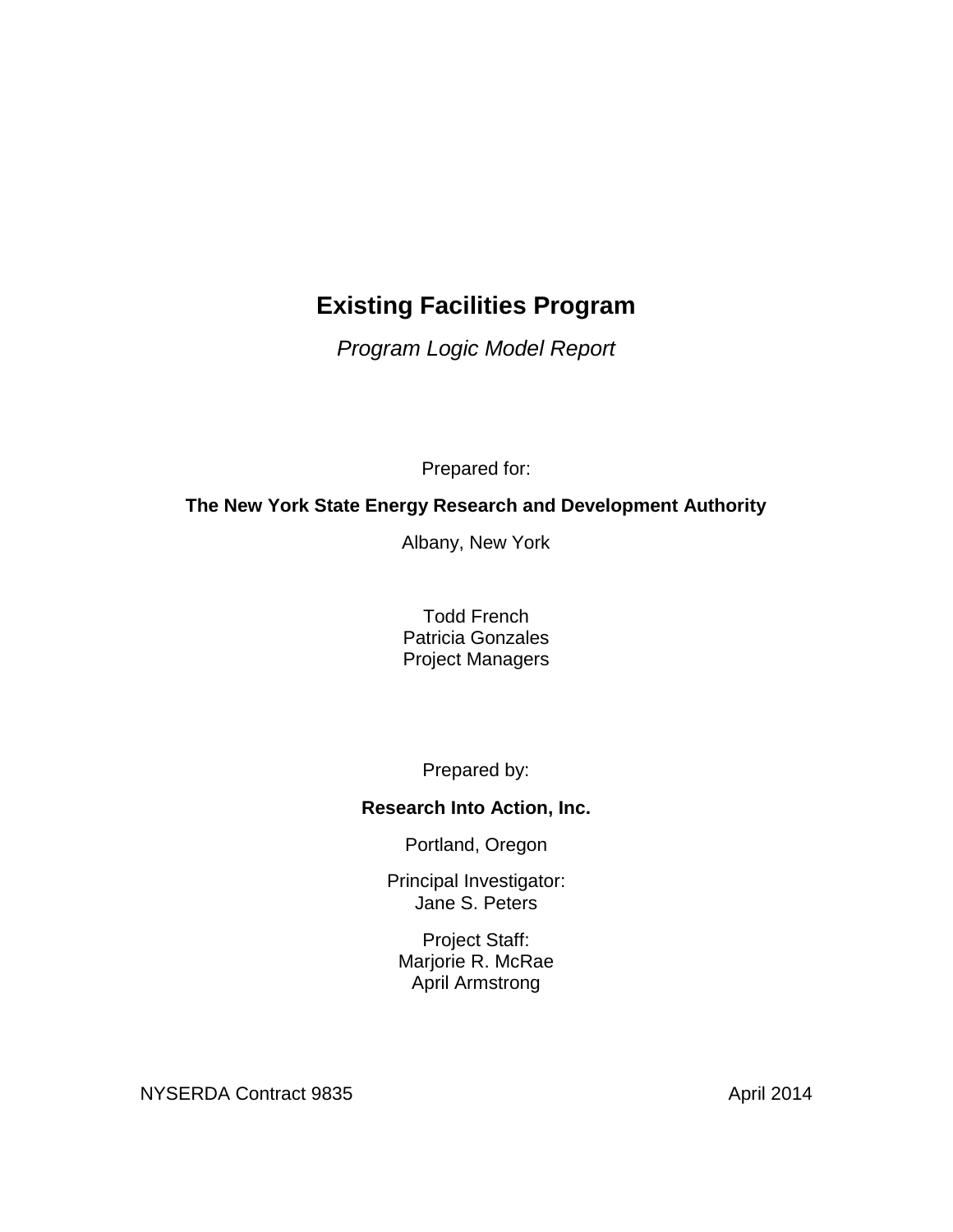# **Existing Facilities Program**

*Program Logic Model Report*

Prepared for:

# **The New York State Energy Research and Development Authority**

Albany, New York

Todd French Patricia Gonzales Project Managers

Prepared by:

## **Research Into Action, Inc.**

Portland, Oregon

Principal Investigator: Jane S. Peters

Project Staff: Marjorie R. McRae April Armstrong

NYSERDA Contract 9835 April 2014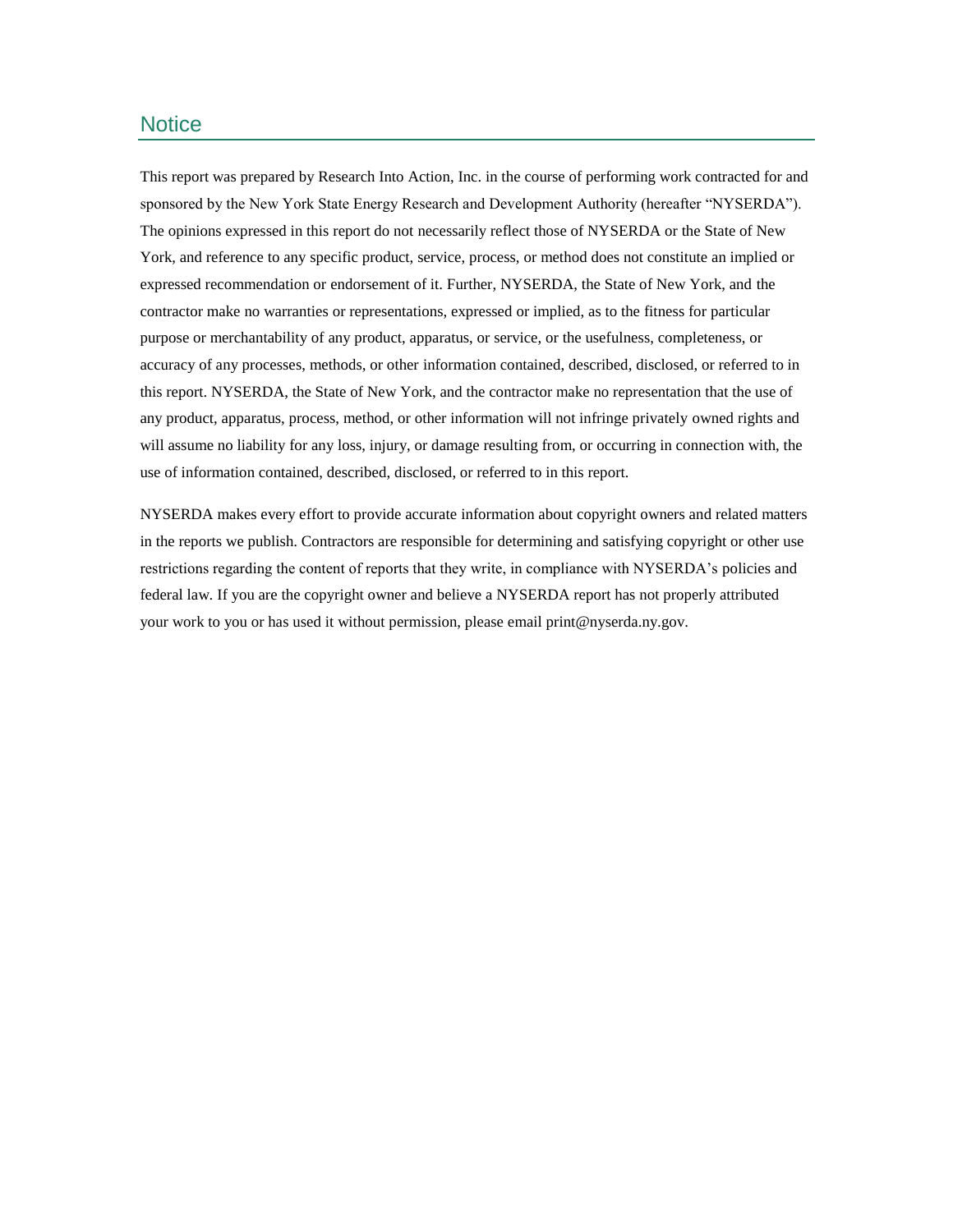#### **Notice**

This report was prepared by Research Into Action, Inc. in the course of performing work contracted for and sponsored by the New York State Energy Research and Development Authority (hereafter "NYSERDA"). The opinions expressed in this report do not necessarily reflect those of NYSERDA or the State of New York, and reference to any specific product, service, process, or method does not constitute an implied or expressed recommendation or endorsement of it. Further, NYSERDA, the State of New York, and the contractor make no warranties or representations, expressed or implied, as to the fitness for particular purpose or merchantability of any product, apparatus, or service, or the usefulness, completeness, or accuracy of any processes, methods, or other information contained, described, disclosed, or referred to in this report. NYSERDA, the State of New York, and the contractor make no representation that the use of any product, apparatus, process, method, or other information will not infringe privately owned rights and will assume no liability for any loss, injury, or damage resulting from, or occurring in connection with, the use of information contained, described, disclosed, or referred to in this report.

NYSERDA makes every effort to provide accurate information about copyright owners and related matters in the reports we publish. Contractors are responsible for determining and satisfying copyright or other use restrictions regarding the content of reports that they write, in compliance with NYSERDA's policies and federal law. If you are the copyright owner and believe a NYSERDA report has not properly attributed your work to you or has used it without permission, please email print@nyserda.ny.gov.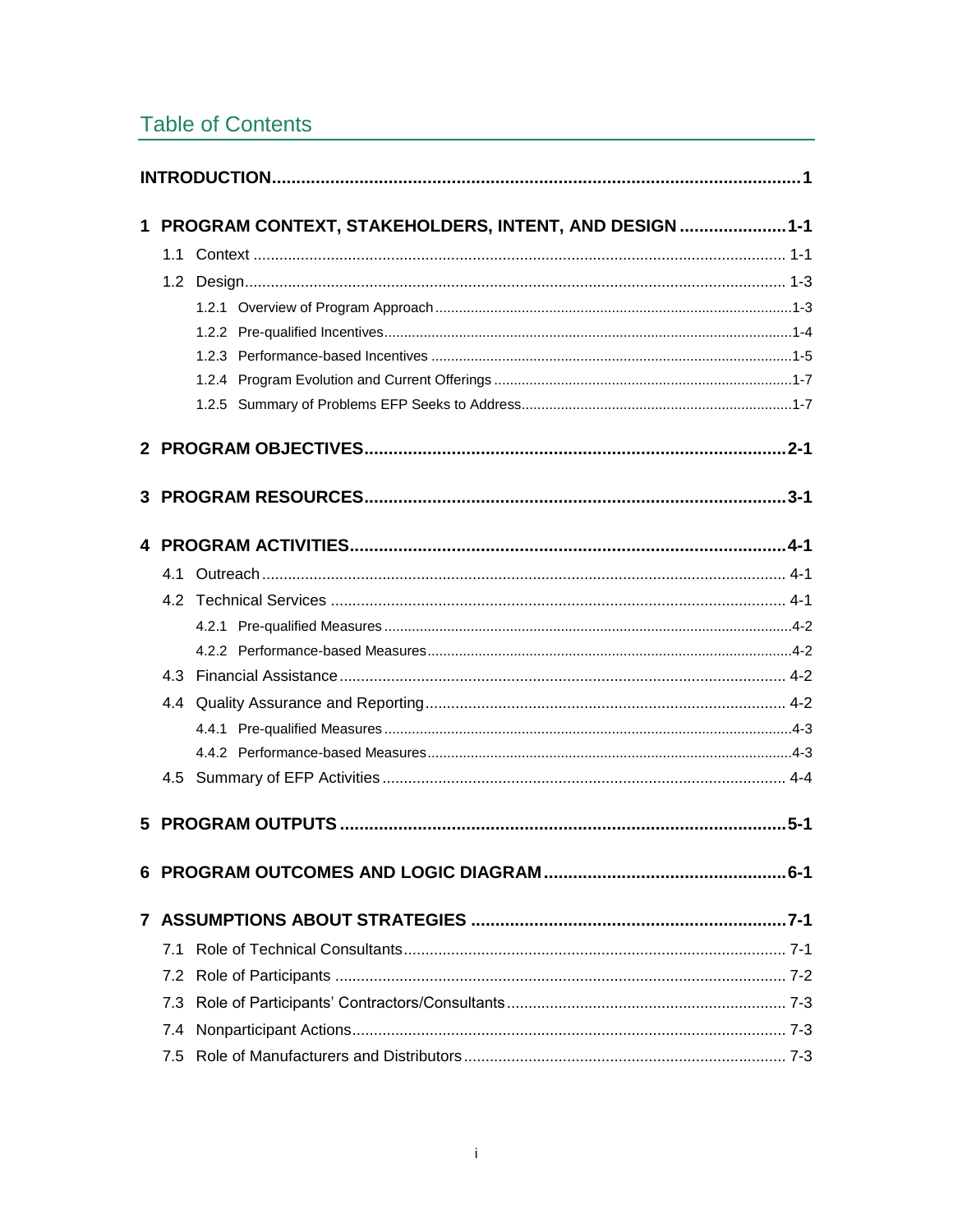# **Table of Contents**

| $\mathbf 1$  |     | PROGRAM CONTEXT, STAKEHOLDERS, INTENT, AND DESIGN  1-1 |
|--------------|-----|--------------------------------------------------------|
|              |     |                                                        |
|              |     |                                                        |
|              |     |                                                        |
|              |     |                                                        |
|              |     |                                                        |
|              |     |                                                        |
|              |     |                                                        |
|              |     |                                                        |
|              |     |                                                        |
|              |     |                                                        |
|              |     |                                                        |
|              |     |                                                        |
|              |     |                                                        |
|              |     |                                                        |
|              |     |                                                        |
|              |     |                                                        |
|              |     |                                                        |
|              |     |                                                        |
|              |     |                                                        |
|              |     |                                                        |
|              |     |                                                        |
| $\mathbf{7}$ |     |                                                        |
|              | 7.1 |                                                        |
|              | 7.2 |                                                        |
|              | 7.3 |                                                        |
|              | 7.4 |                                                        |
|              | 7.5 |                                                        |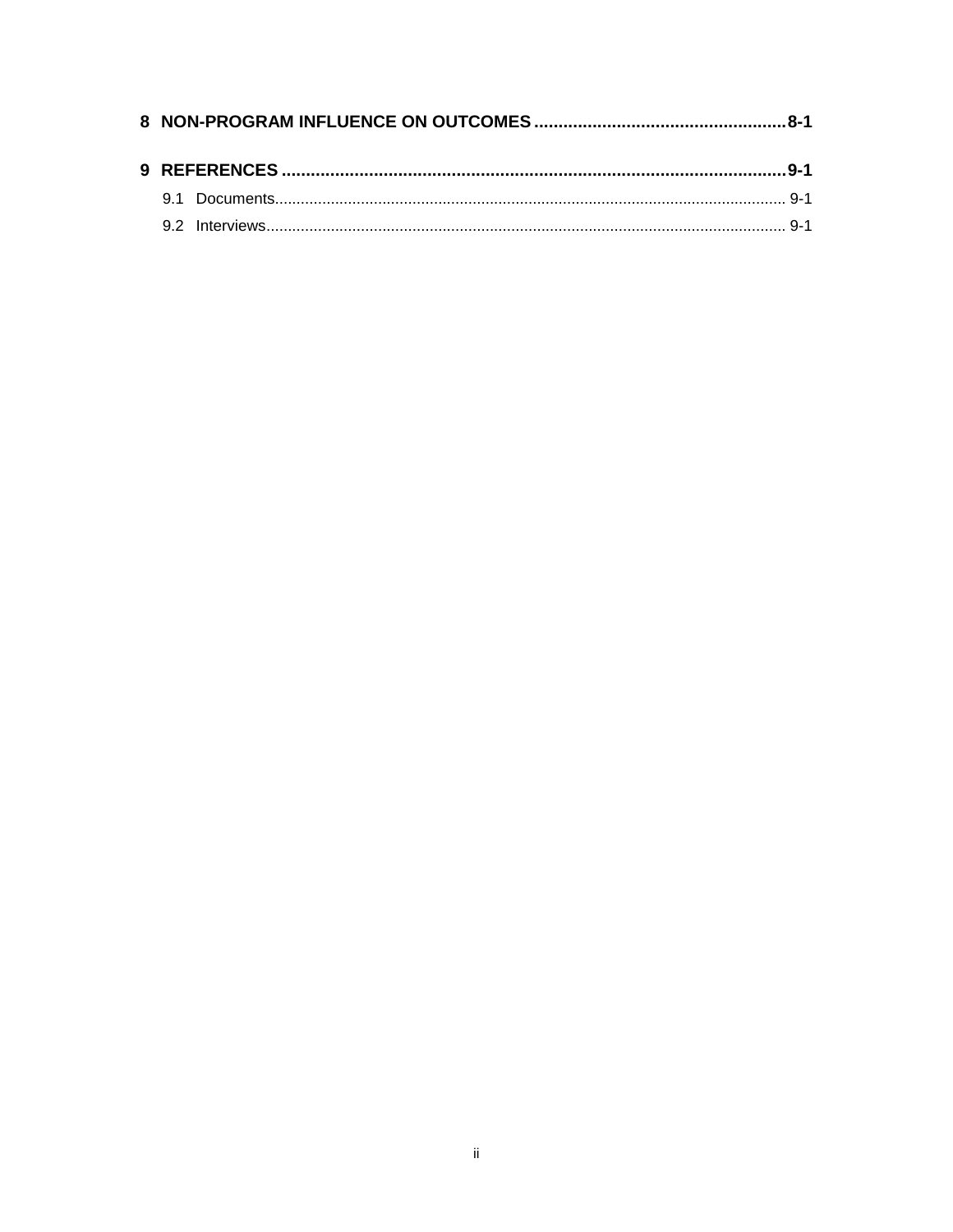|  | 9 REFERENCES ……………………………………………………………………………………………9-1 |  |
|--|-----------------------------------------------------|--|
|  |                                                     |  |
|  |                                                     |  |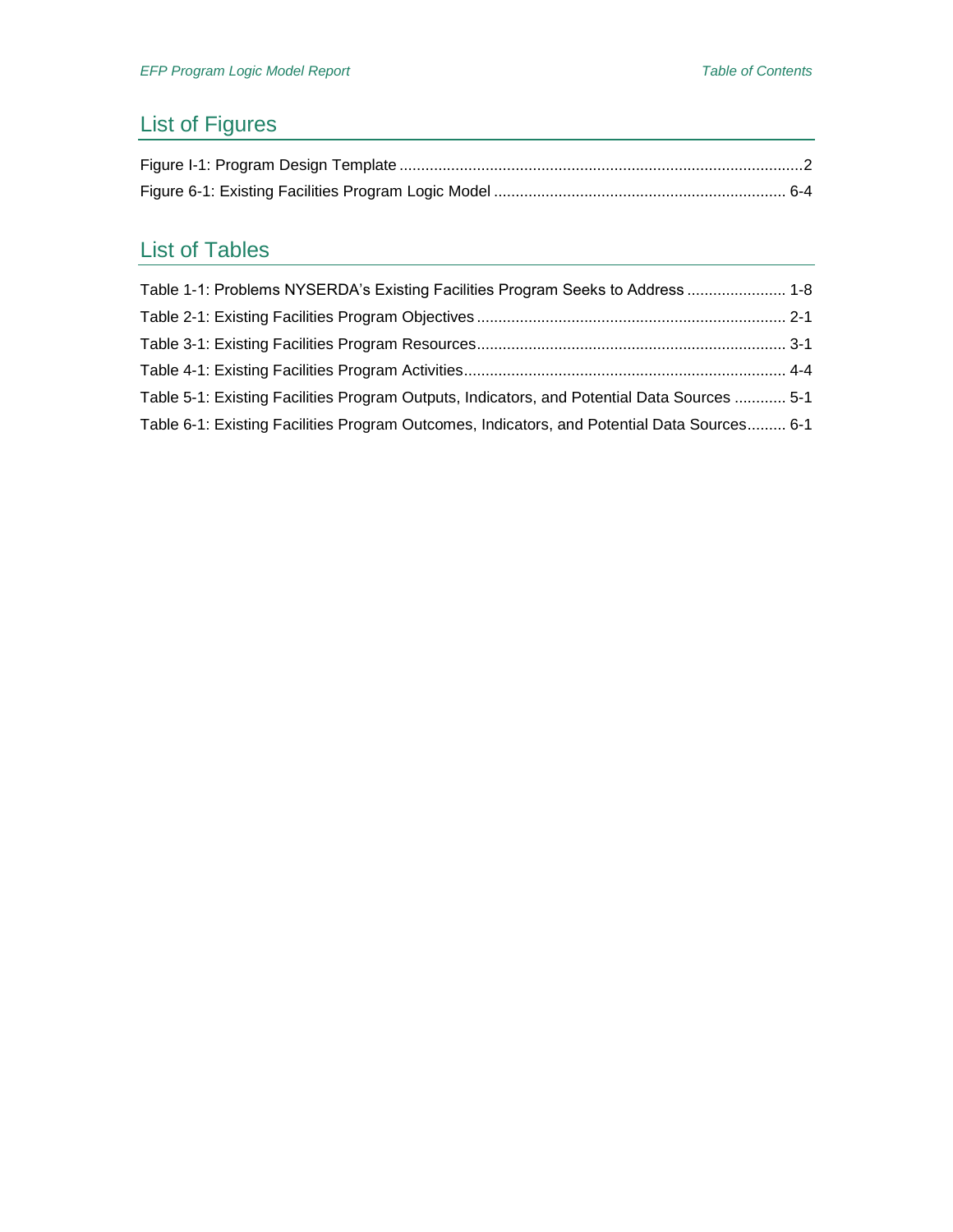# List of Figures

# List of Tables

| Table 1-1: Problems NYSERDA's Existing Facilities Program Seeks to Address  1-8             |  |
|---------------------------------------------------------------------------------------------|--|
|                                                                                             |  |
|                                                                                             |  |
|                                                                                             |  |
| Table 5-1: Existing Facilities Program Outputs, Indicators, and Potential Data Sources  5-1 |  |
| Table 6-1: Existing Facilities Program Outcomes, Indicators, and Potential Data Sources 6-1 |  |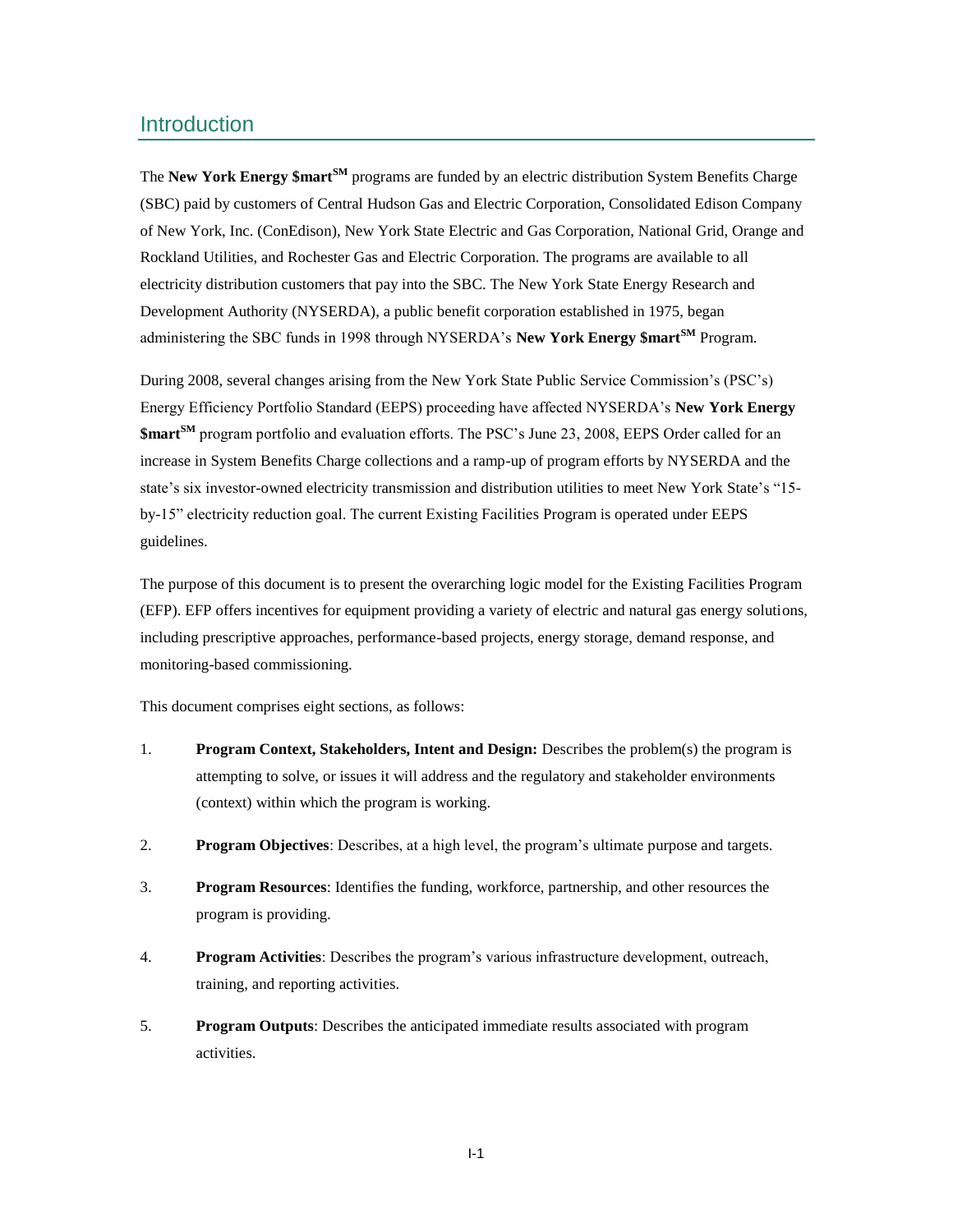### <span id="page-8-0"></span>Introduction

The **New York Energy \$martSM** programs are funded by an electric distribution System Benefits Charge (SBC) paid by customers of Central Hudson Gas and Electric Corporation, Consolidated Edison Company of New York, Inc. (ConEdison), New York State Electric and Gas Corporation, National Grid, Orange and Rockland Utilities, and Rochester Gas and Electric Corporation. The programs are available to all electricity distribution customers that pay into the SBC. The New York State Energy Research and Development Authority (NYSERDA), a public benefit corporation established in 1975, began administering the SBC funds in 1998 through NYSERDA's **New York Energy \$martSM** Program.

During 2008, several changes arising from the New York State Public Service Commission's (PSC's) Energy Efficiency Portfolio Standard (EEPS) proceeding have affected NYSERDA's **New York Energy \$martSM** program portfolio and evaluation efforts. The PSC's June 23, 2008, EEPS Order called for an increase in System Benefits Charge collections and a ramp-up of program efforts by NYSERDA and the state's six investor-owned electricity transmission and distribution utilities to meet New York State's "15 by-15" electricity reduction goal. The current Existing Facilities Program is operated under EEPS guidelines.

The purpose of this document is to present the overarching logic model for the Existing Facilities Program (EFP). EFP offers incentives for equipment providing a variety of electric and natural gas energy solutions, including prescriptive approaches, performance-based projects, energy storage, demand response, and monitoring-based commissioning.

This document comprises eight sections, as follows:

- 1. **Program Context, Stakeholders, Intent and Design:** Describes the problem(s) the program is attempting to solve, or issues it will address and the regulatory and stakeholder environments (context) within which the program is working.
- 2. **Program Objectives**: Describes, at a high level, the program's ultimate purpose and targets.
- 3. **Program Resources**: Identifies the funding, workforce, partnership, and other resources the program is providing.
- 4. **Program Activities**: Describes the program's various infrastructure development, outreach, training, and reporting activities.
- 5. **Program Outputs**: Describes the anticipated immediate results associated with program activities.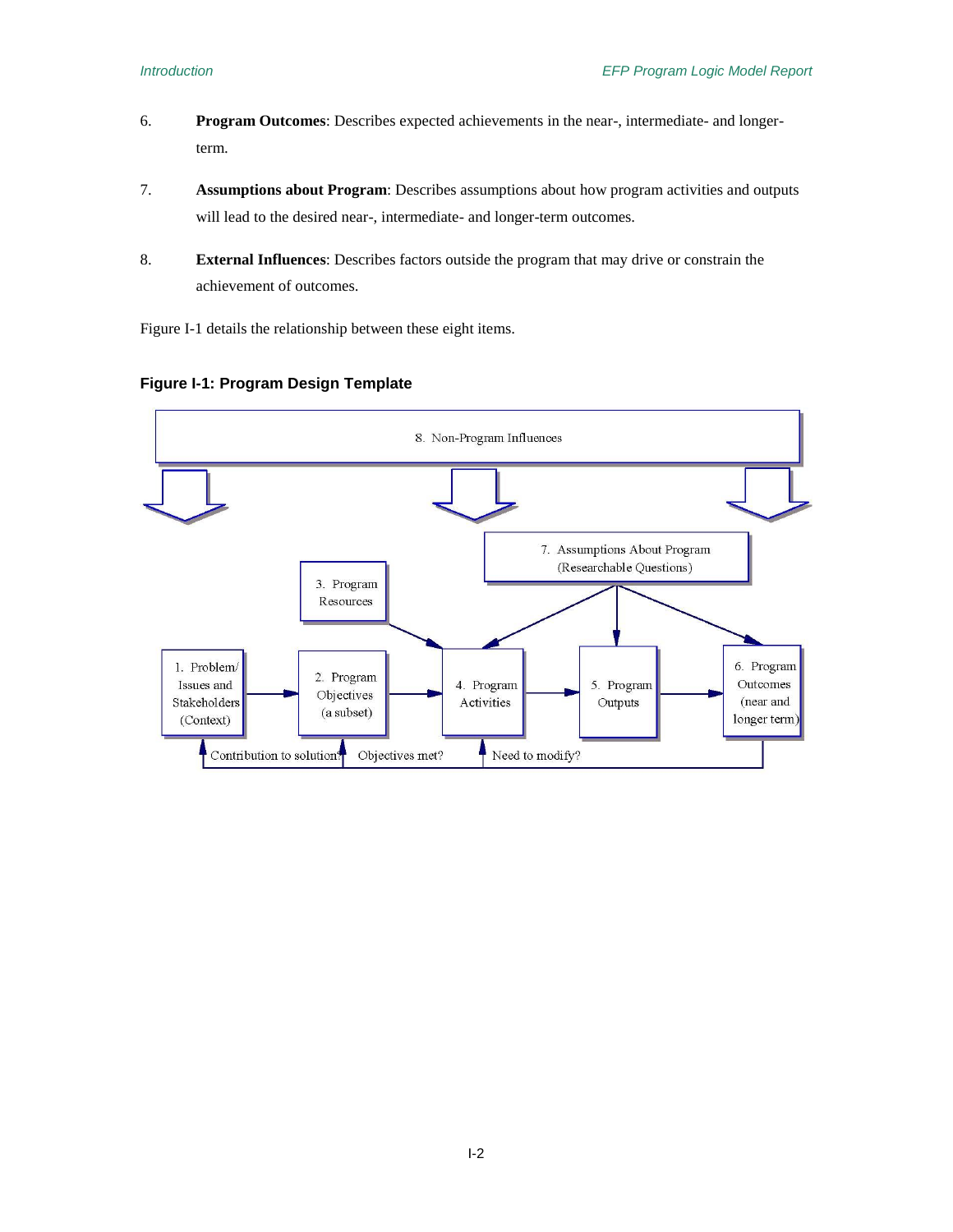- 6. **Program Outcomes**: Describes expected achievements in the near-, intermediate- and longerterm.
- 7. **Assumptions about Program**: Describes assumptions about how program activities and outputs will lead to the desired near-, intermediate- and longer-term outcomes.
- 8. **External Influences**: Describes factors outside the program that may drive or constrain the achievement of outcomes.

Figure I-1 details the relationship between these eight items.



### <span id="page-9-0"></span>**Figure I-1: Program Design Template**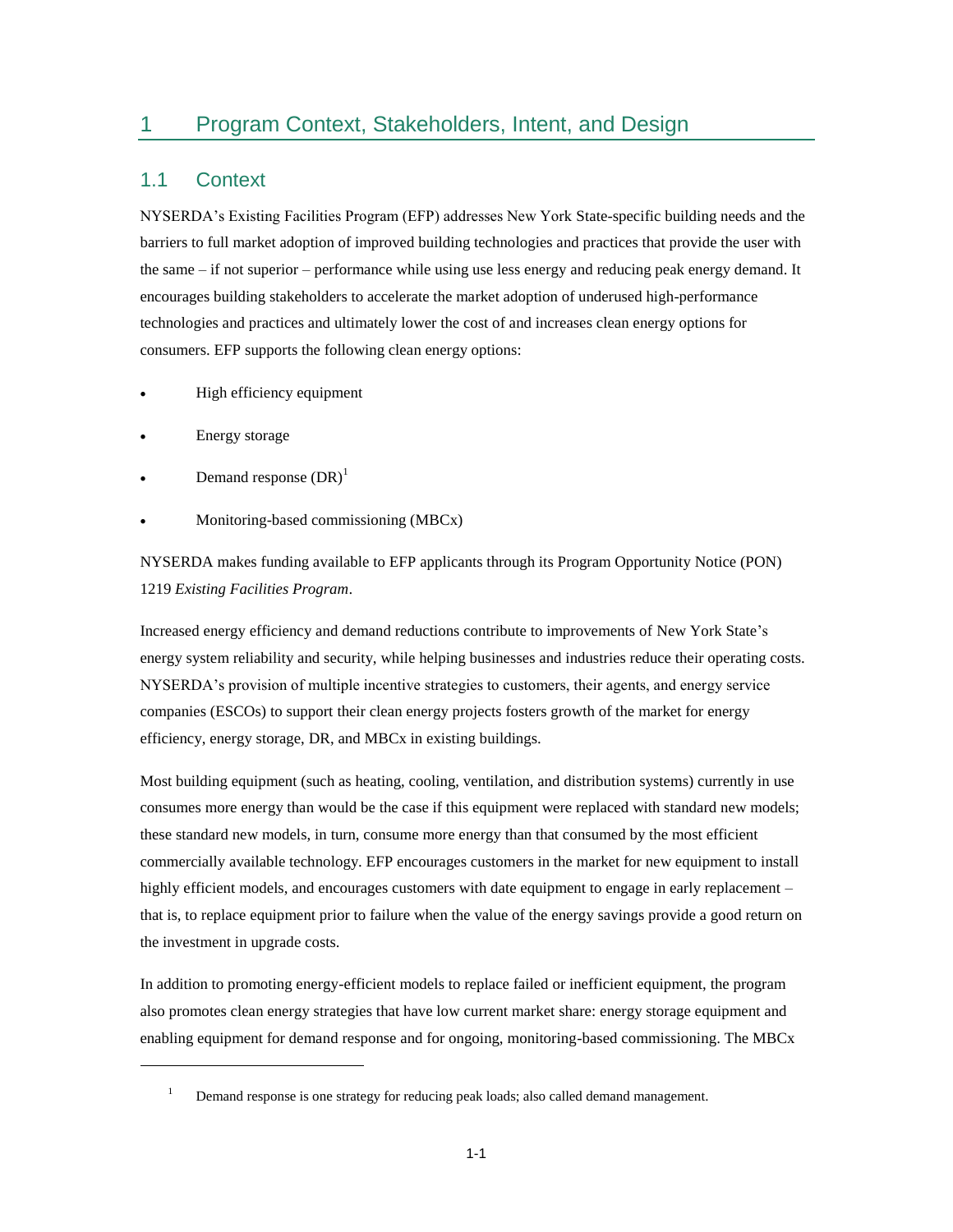## <span id="page-10-0"></span>1 Program Context, Stakeholders, Intent, and Design

### <span id="page-10-1"></span>1.1 Context

NYSERDA's Existing Facilities Program (EFP) addresses New York State-specific building needs and the barriers to full market adoption of improved building technologies and practices that provide the user with the same – if not superior – performance while using use less energy and reducing peak energy demand. It encourages building stakeholders to accelerate the market adoption of underused high-performance technologies and practices and ultimately lower the cost of and increases clean energy options for consumers. EFP supports the following clean energy options:

- High efficiency equipment
- Energy storage

 $\overline{a}$ 

- Demand response  $(DR)^1$
- Monitoring-based commissioning (MBCx)

NYSERDA makes funding available to EFP applicants through its Program Opportunity Notice (PON) 1219 *Existing Facilities Program*.

Increased energy efficiency and demand reductions contribute to improvements of New York State's energy system reliability and security, while helping businesses and industries reduce their operating costs. NYSERDA's provision of multiple incentive strategies to customers, their agents, and energy service companies (ESCOs) to support their clean energy projects fosters growth of the market for energy efficiency, energy storage, DR, and MBCx in existing buildings.

Most building equipment (such as heating, cooling, ventilation, and distribution systems) currently in use consumes more energy than would be the case if this equipment were replaced with standard new models; these standard new models, in turn, consume more energy than that consumed by the most efficient commercially available technology. EFP encourages customers in the market for new equipment to install highly efficient models, and encourages customers with date equipment to engage in early replacement – that is, to replace equipment prior to failure when the value of the energy savings provide a good return on the investment in upgrade costs.

In addition to promoting energy-efficient models to replace failed or inefficient equipment, the program also promotes clean energy strategies that have low current market share: energy storage equipment and enabling equipment for demand response and for ongoing, monitoring-based commissioning. The MBCx

<sup>&</sup>lt;sup>1</sup> Demand response is one strategy for reducing peak loads; also called demand management.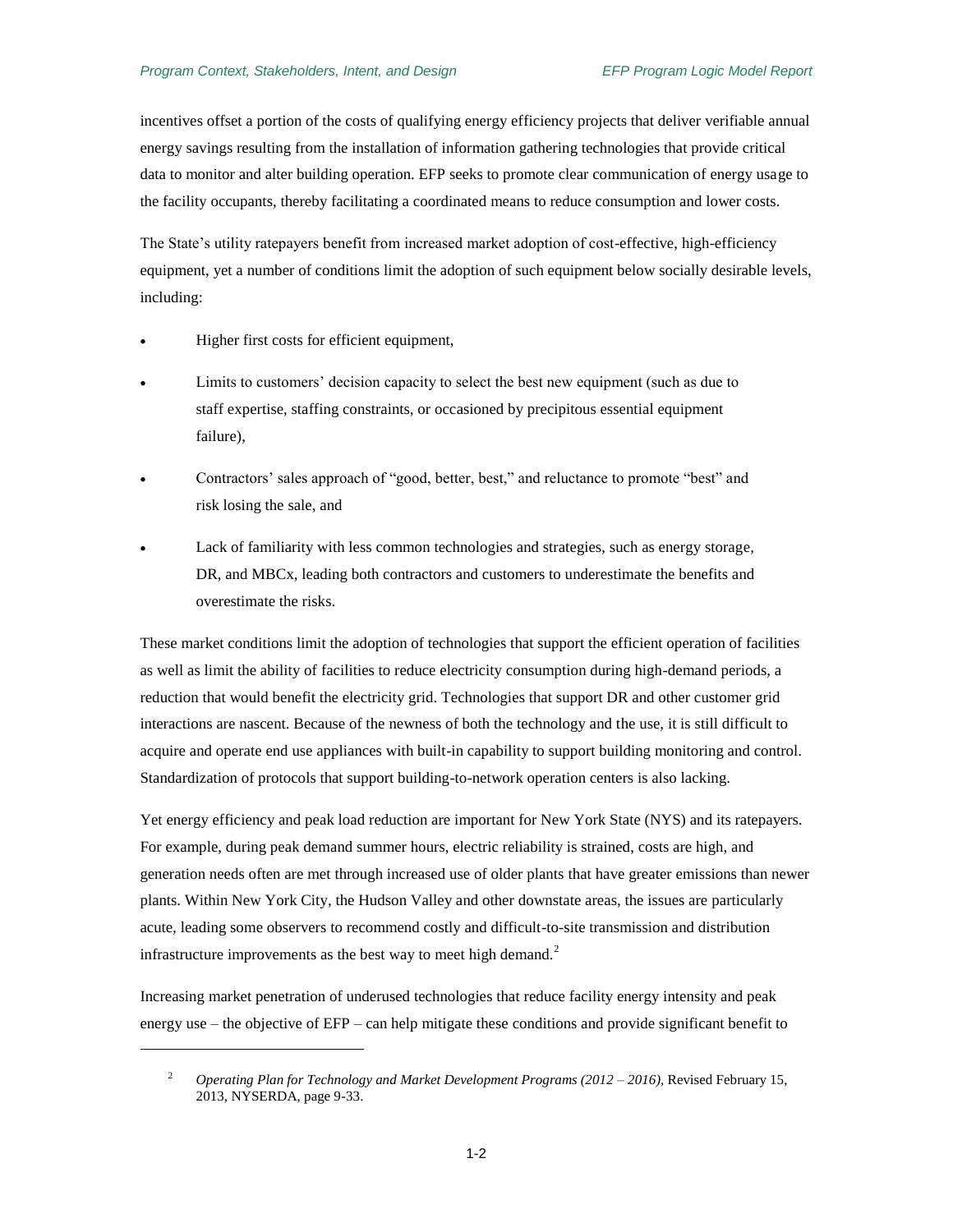incentives offset a portion of the costs of qualifying energy efficiency projects that deliver verifiable annual energy savings resulting from the installation of information gathering technologies that provide critical data to monitor and alter building operation. EFP seeks to promote clear communication of energy usage to the facility occupants, thereby facilitating a coordinated means to reduce consumption and lower costs.

The State's utility ratepayers benefit from increased market adoption of cost-effective, high-efficiency equipment, yet a number of conditions limit the adoption of such equipment below socially desirable levels, including:

Higher first costs for efficient equipment,

 $\overline{a}$ 

- Limits to customers' decision capacity to select the best new equipment (such as due to staff expertise, staffing constraints, or occasioned by precipitous essential equipment failure),
- Contractors' sales approach of "good, better, best," and reluctance to promote "best" and risk losing the sale, and
- Lack of familiarity with less common technologies and strategies, such as energy storage, DR, and MBCx, leading both contractors and customers to underestimate the benefits and overestimate the risks.

These market conditions limit the adoption of technologies that support the efficient operation of facilities as well as limit the ability of facilities to reduce electricity consumption during high-demand periods, a reduction that would benefit the electricity grid. Technologies that support DR and other customer grid interactions are nascent. Because of the newness of both the technology and the use, it is still difficult to acquire and operate end use appliances with built-in capability to support building monitoring and control. Standardization of protocols that support building-to-network operation centers is also lacking.

Yet energy efficiency and peak load reduction are important for New York State (NYS) and its ratepayers. For example, during peak demand summer hours, electric reliability is strained, costs are high, and generation needs often are met through increased use of older plants that have greater emissions than newer plants. Within New York City, the Hudson Valley and other downstate areas, the issues are particularly acute, leading some observers to recommend costly and difficult-to-site transmission and distribution infrastructure improvements as the best way to meet high demand.<sup>2</sup>

Increasing market penetration of underused technologies that reduce facility energy intensity and peak energy use – the objective of EFP – can help mitigate these conditions and provide significant benefit to

<sup>2</sup> *Operating Plan for Technology and Market Development Programs (2012 – 2016),* Revised February 15, 2013, NYSERDA, page 9-33.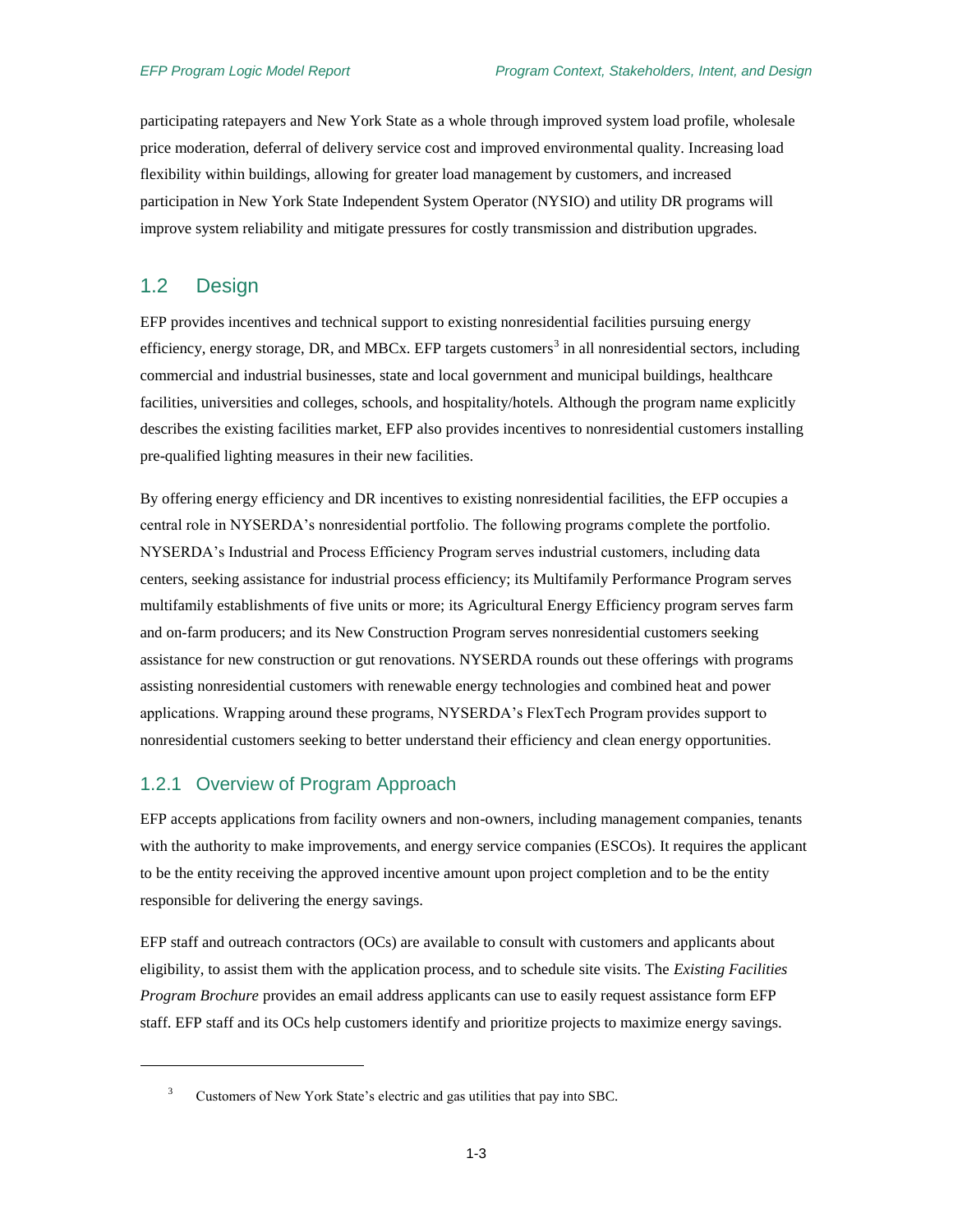participating ratepayers and New York State as a whole through improved system load profile, wholesale price moderation, deferral of delivery service cost and improved environmental quality. Increasing load flexibility within buildings, allowing for greater load management by customers, and increased participation in New York State Independent System Operator (NYSIO) and utility DR programs will improve system reliability and mitigate pressures for costly transmission and distribution upgrades.

### <span id="page-12-0"></span>1.2 Design

 $\overline{a}$ 

EFP provides incentives and technical support to existing nonresidential facilities pursuing energy efficiency, energy storage, DR, and MBCx. EFP targets customers<sup>3</sup> in all nonresidential sectors, including commercial and industrial businesses, state and local government and municipal buildings, healthcare facilities, universities and colleges, schools, and hospitality/hotels. Although the program name explicitly describes the existing facilities market, EFP also provides incentives to nonresidential customers installing pre-qualified lighting measures in their new facilities.

By offering energy efficiency and DR incentives to existing nonresidential facilities, the EFP occupies a central role in NYSERDA's nonresidential portfolio. The following programs complete the portfolio. NYSERDA's Industrial and Process Efficiency Program serves industrial customers, including data centers, seeking assistance for industrial process efficiency; its Multifamily Performance Program serves multifamily establishments of five units or more; its Agricultural Energy Efficiency program serves farm and on-farm producers; and its New Construction Program serves nonresidential customers seeking assistance for new construction or gut renovations. NYSERDA rounds out these offerings with programs assisting nonresidential customers with renewable energy technologies and combined heat and power applications. Wrapping around these programs, NYSERDA's FlexTech Program provides support to nonresidential customers seeking to better understand their efficiency and clean energy opportunities.

#### <span id="page-12-1"></span>1.2.1 Overview of Program Approach

EFP accepts applications from facility owners and non-owners, including management companies, tenants with the authority to make improvements, and energy service companies (ESCOs). It requires the applicant to be the entity receiving the approved incentive amount upon project completion and to be the entity responsible for delivering the energy savings.

EFP staff and outreach contractors (OCs) are available to consult with customers and applicants about eligibility, to assist them with the application process, and to schedule site visits. The *Existing Facilities Program Brochure* provides an email address applicants can use to easily request assistance form EFP staff. EFP staff and its OCs help customers identify and prioritize projects to maximize energy savings.

<sup>&</sup>lt;sup>3</sup> Customers of New York State's electric and gas utilities that pay into SBC.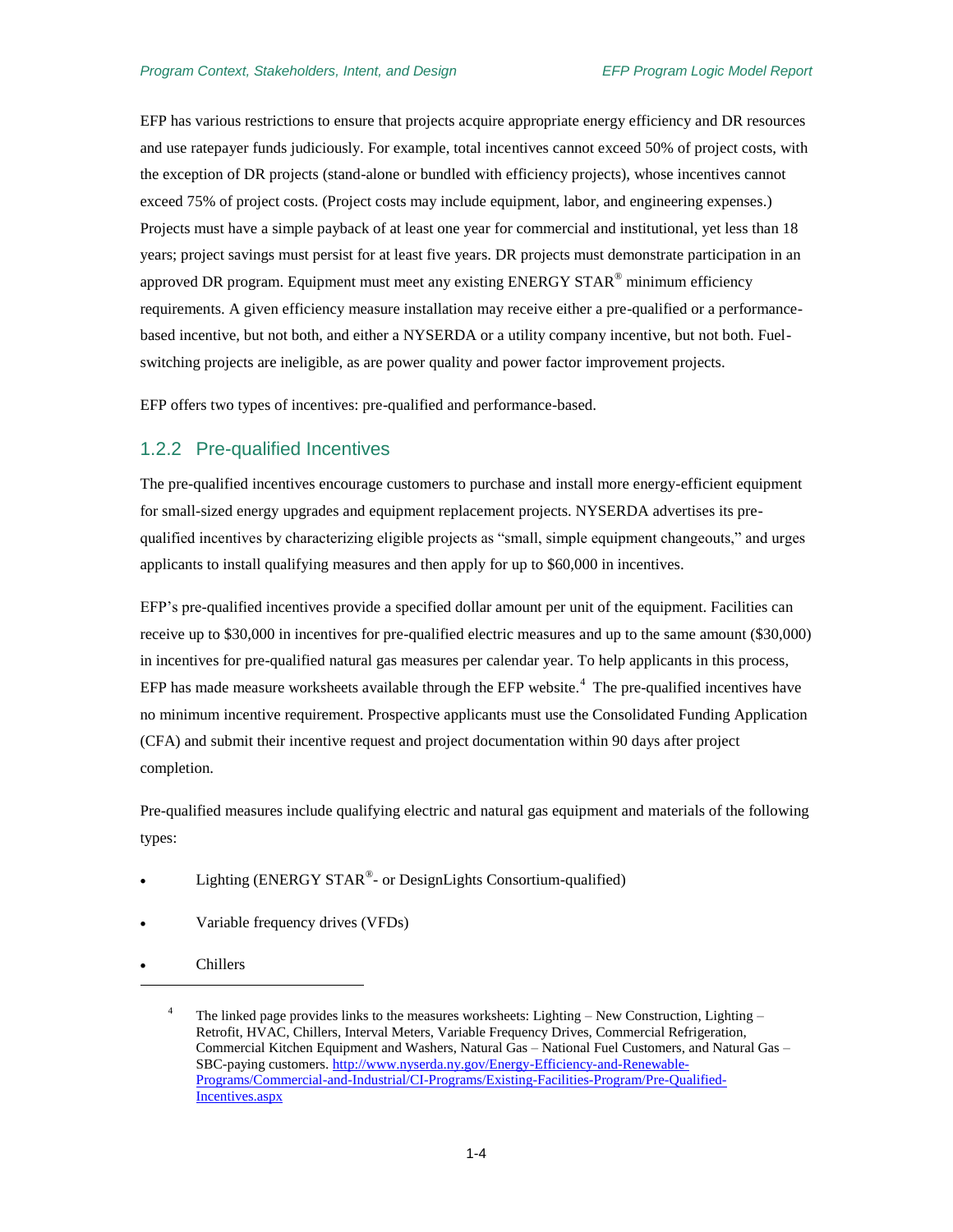EFP has various restrictions to ensure that projects acquire appropriate energy efficiency and DR resources and use ratepayer funds judiciously. For example, total incentives cannot exceed 50% of project costs, with the exception of DR projects (stand-alone or bundled with efficiency projects), whose incentives cannot exceed 75% of project costs. (Project costs may include equipment, labor, and engineering expenses.) Projects must have a simple payback of at least one year for commercial and institutional, yet less than 18 years; project savings must persist for at least five years. DR projects must demonstrate participation in an approved DR program. Equipment must meet any existing ENERGY STAR<sup>®</sup> minimum efficiency requirements. A given efficiency measure installation may receive either a pre-qualified or a performancebased incentive, but not both, and either a NYSERDA or a utility company incentive, but not both. Fuelswitching projects are ineligible, as are power quality and power factor improvement projects.

EFP offers two types of incentives: pre-qualified and performance-based.

#### <span id="page-13-0"></span>1.2.2 Pre-qualified Incentives

The pre-qualified incentives encourage customers to purchase and install more energy-efficient equipment for small-sized energy upgrades and equipment replacement projects. NYSERDA advertises its prequalified incentives by characterizing eligible projects as "small, simple equipment changeouts," and urges applicants to install qualifying measures and then apply for up to \$60,000 in incentives.

EFP's pre-qualified incentives provide a specified dollar amount per unit of the equipment. Facilities can receive up to \$30,000 in incentives for pre-qualified electric measures and up to the same amount (\$30,000) in incentives for pre-qualified natural gas measures per calendar year. To help applicants in this process, EFP has made measure worksheets available through the EFP website.<sup>4</sup> The pre-qualified incentives have no minimum incentive requirement. Prospective applicants must use the Consolidated Funding Application (CFA) and submit their incentive request and project documentation within 90 days after project completion.

Pre-qualified measures include qualifying electric and natural gas equipment and materials of the following types:

- Lighting (ENERGY STAR® or DesignLights Consortium-qualified)
- Variable frequency drives (VFDs)
- Chillers

l

The linked page provides links to the measures worksheets: Lighting – New Construction, Lighting – Retrofit, HVAC, Chillers, Interval Meters, Variable Frequency Drives, Commercial Refrigeration, Commercial Kitchen Equipment and Washers, Natural Gas – National Fuel Customers, and Natural Gas – SBC-paying customers. [http://www.nyserda.ny.gov/Energy-Efficiency-and-Renewable-](http://www.nyserda.ny.gov/Energy-Efficiency-and-Renewable-Programs/Commercial-and-Industrial/CI-Programs/Existing-Facilities-Program/Pre-Qualified-Incentives.aspx)[Programs/Commercial-and-Industrial/CI-Programs/Existing-Facilities-Program/Pre-Qualified-](http://www.nyserda.ny.gov/Energy-Efficiency-and-Renewable-Programs/Commercial-and-Industrial/CI-Programs/Existing-Facilities-Program/Pre-Qualified-Incentives.aspx)[Incentives.aspx](http://www.nyserda.ny.gov/Energy-Efficiency-and-Renewable-Programs/Commercial-and-Industrial/CI-Programs/Existing-Facilities-Program/Pre-Qualified-Incentives.aspx)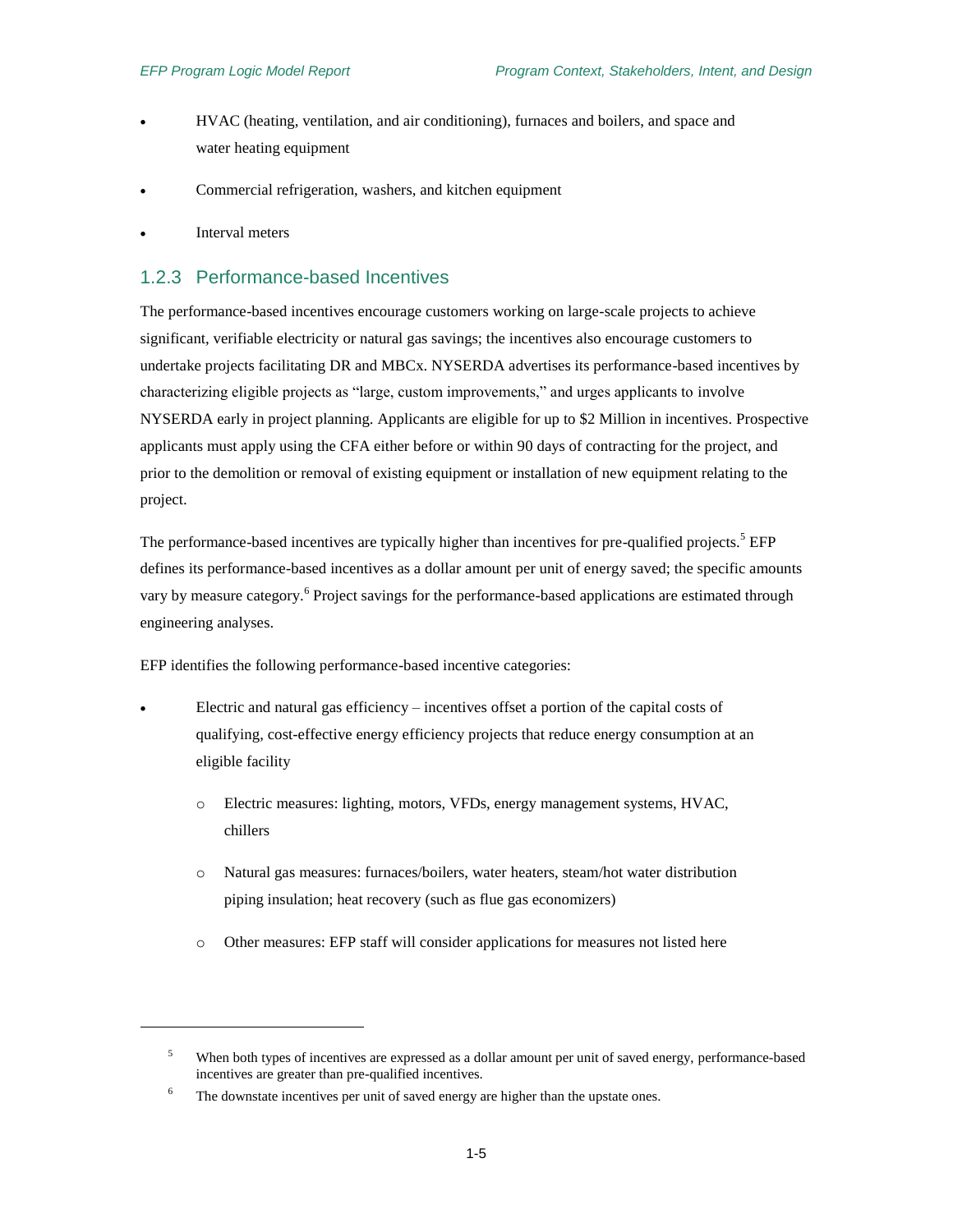- HVAC (heating, ventilation, and air conditioning), furnaces and boilers, and space and water heating equipment
- Commercial refrigeration, washers, and kitchen equipment
- Interval meters

 $\overline{a}$ 

#### <span id="page-14-0"></span>1.2.3 Performance-based Incentives

The performance-based incentives encourage customers working on large-scale projects to achieve significant, verifiable electricity or natural gas savings; the incentives also encourage customers to undertake projects facilitating DR and MBCx. NYSERDA advertises its performance-based incentives by characterizing eligible projects as "large, custom improvements," and urges applicants to involve NYSERDA early in project planning. Applicants are eligible for up to \$2 Million in incentives. Prospective applicants must apply using the CFA either before or within 90 days of contracting for the project, and prior to the demolition or removal of existing equipment or installation of new equipment relating to the project.

The performance-based incentives are typically higher than incentives for pre-qualified projects.<sup>5</sup> EFP defines its performance-based incentives as a dollar amount per unit of energy saved; the specific amounts vary by measure category.<sup>6</sup> Project savings for the performance-based applications are estimated through engineering analyses.

EFP identifies the following performance-based incentive categories:

- Electric and natural gas efficiency incentives offset a portion of the capital costs of qualifying, cost-effective energy efficiency projects that reduce energy consumption at an eligible facility
	- o Electric measures: lighting, motors, VFDs, energy management systems, HVAC, chillers
	- o Natural gas measures: furnaces/boilers, water heaters, steam/hot water distribution piping insulation; heat recovery (such as flue gas economizers)
	- o Other measures: EFP staff will consider applications for measures not listed here

<sup>&</sup>lt;sup>5</sup> When both types of incentives are expressed as a dollar amount per unit of saved energy, performance-based incentives are greater than pre-qualified incentives.

<sup>&</sup>lt;sup>6</sup> The downstate incentives per unit of saved energy are higher than the upstate ones.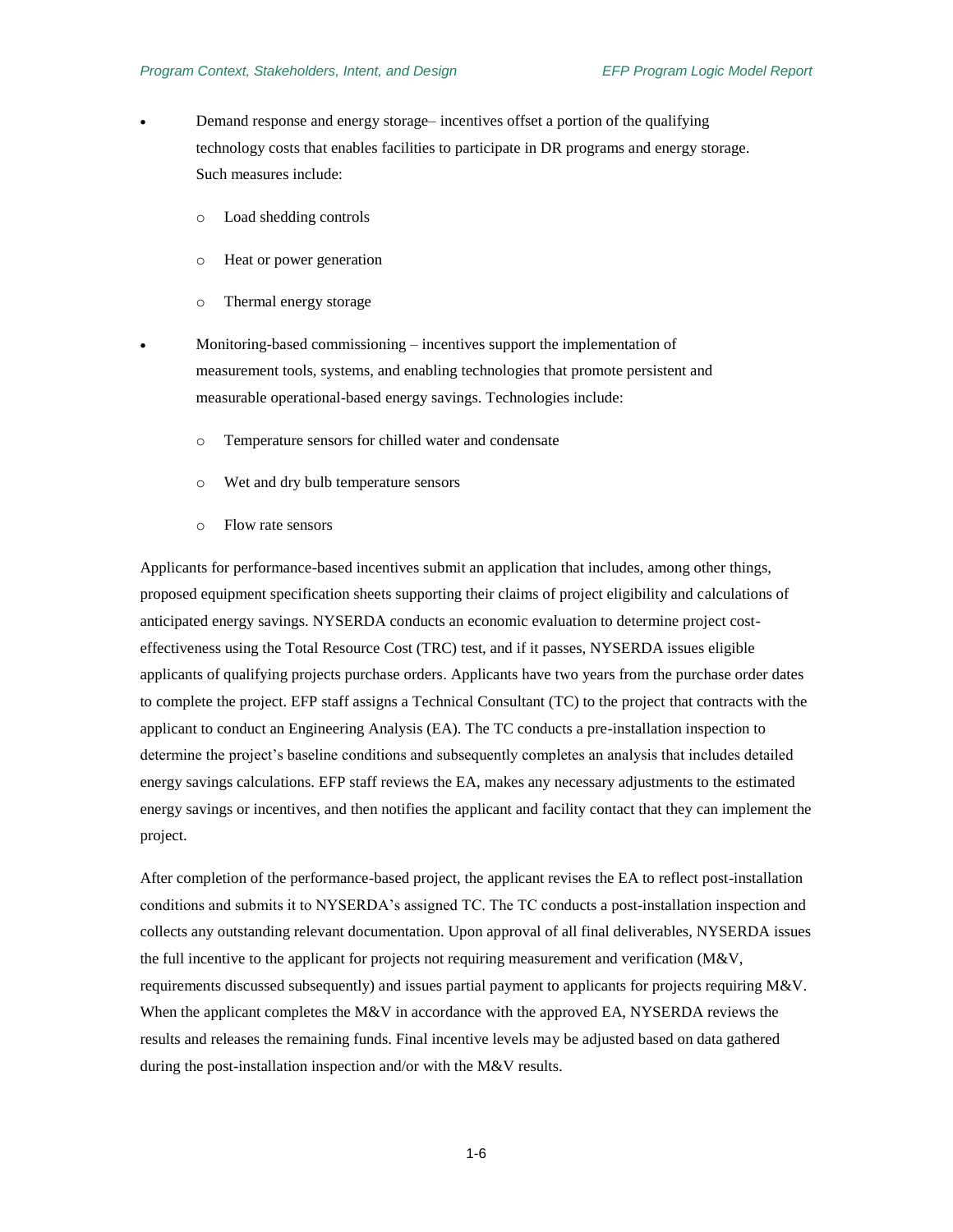- Demand response and energy storage– incentives offset a portion of the qualifying technology costs that enables facilities to participate in DR programs and energy storage. Such measures include:
	- o Load shedding controls
	- o Heat or power generation
	- o Thermal energy storage
	- Monitoring-based commissioning incentives support the implementation of measurement tools, systems, and enabling technologies that promote persistent and measurable operational-based energy savings. Technologies include:
		- o Temperature sensors for chilled water and condensate
		- o Wet and dry bulb temperature sensors
		- o Flow rate sensors

Applicants for performance-based incentives submit an application that includes, among other things, proposed equipment specification sheets supporting their claims of project eligibility and calculations of anticipated energy savings. NYSERDA conducts an economic evaluation to determine project costeffectiveness using the Total Resource Cost (TRC) test, and if it passes, NYSERDA issues eligible applicants of qualifying projects purchase orders. Applicants have two years from the purchase order dates to complete the project. EFP staff assigns a Technical Consultant (TC) to the project that contracts with the applicant to conduct an Engineering Analysis (EA). The TC conducts a pre-installation inspection to determine the project's baseline conditions and subsequently completes an analysis that includes detailed energy savings calculations. EFP staff reviews the EA, makes any necessary adjustments to the estimated energy savings or incentives, and then notifies the applicant and facility contact that they can implement the project.

After completion of the performance-based project, the applicant revises the EA to reflect post-installation conditions and submits it to NYSERDA's assigned TC. The TC conducts a post-installation inspection and collects any outstanding relevant documentation. Upon approval of all final deliverables, NYSERDA issues the full incentive to the applicant for projects not requiring measurement and verification (M&V, requirements discussed subsequently) and issues partial payment to applicants for projects requiring M&V. When the applicant completes the M&V in accordance with the approved EA, NYSERDA reviews the results and releases the remaining funds. Final incentive levels may be adjusted based on data gathered during the post-installation inspection and/or with the M&V results.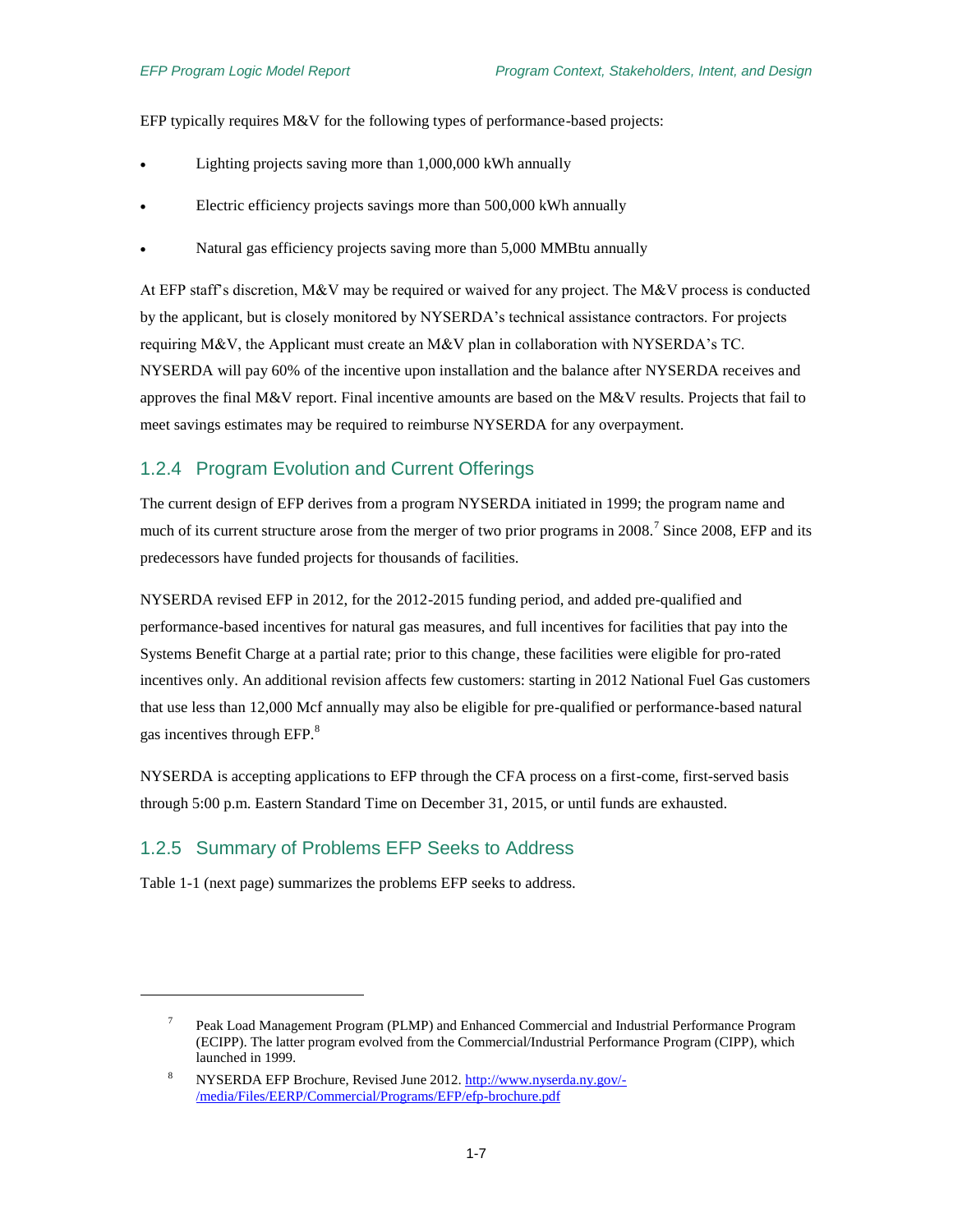EFP typically requires M&V for the following types of performance-based projects:

- Lighting projects saving more than 1,000,000 kWh annually
- Electric efficiency projects savings more than 500,000 kWh annually
- Natural gas efficiency projects saving more than 5,000 MMBtu annually

At EFP staff's discretion, M&V may be required or waived for any project. The M&V process is conducted by the applicant, but is closely monitored by NYSERDA's technical assistance contractors. For projects requiring M&V, the Applicant must create an M&V plan in collaboration with NYSERDA's TC. NYSERDA will pay 60% of the incentive upon installation and the balance after NYSERDA receives and approves the final M&V report. Final incentive amounts are based on the M&V results. Projects that fail to meet savings estimates may be required to reimburse NYSERDA for any overpayment.

#### <span id="page-16-0"></span>1.2.4 Program Evolution and Current Offerings

The current design of EFP derives from a program NYSERDA initiated in 1999; the program name and much of its current structure arose from the merger of two prior programs in 2008.<sup>7</sup> Since 2008, EFP and its predecessors have funded projects for thousands of facilities.

NYSERDA revised EFP in 2012, for the 2012-2015 funding period, and added pre-qualified and performance-based incentives for natural gas measures, and full incentives for facilities that pay into the Systems Benefit Charge at a partial rate; prior to this change, these facilities were eligible for pro-rated incentives only. An additional revision affects few customers: starting in 2012 National Fuel Gas customers that use less than 12,000 Mcf annually may also be eligible for pre-qualified or performance-based natural gas incentives through EFP.<sup>8</sup>

NYSERDA is accepting applications to EFP through the CFA process on a first-come, first-served basis through 5:00 p.m. Eastern Standard Time on December 31, 2015, or until funds are exhausted.

#### <span id="page-16-1"></span>1.2.5 Summary of Problems EFP Seeks to Address

[Table 1-1](#page-17-0) (next page) summarizes the problems EFP seeks to address.

l

<sup>7</sup> Peak Load Management Program (PLMP) and Enhanced Commercial and Industrial Performance Program (ECIPP). The latter program evolved from the Commercial/Industrial Performance Program (CIPP), which launched in 1999.

<sup>8</sup> NYSERDA EFP Brochure, Revised June 2012. [http://www.nyserda.ny.gov/-](http://www.nyserda.ny.gov/-/media/Files/EERP/Commercial/Programs/EFP/efp-brochure.pdf) [/media/Files/EERP/Commercial/Programs/EFP/efp-brochure.pdf](http://www.nyserda.ny.gov/-/media/Files/EERP/Commercial/Programs/EFP/efp-brochure.pdf)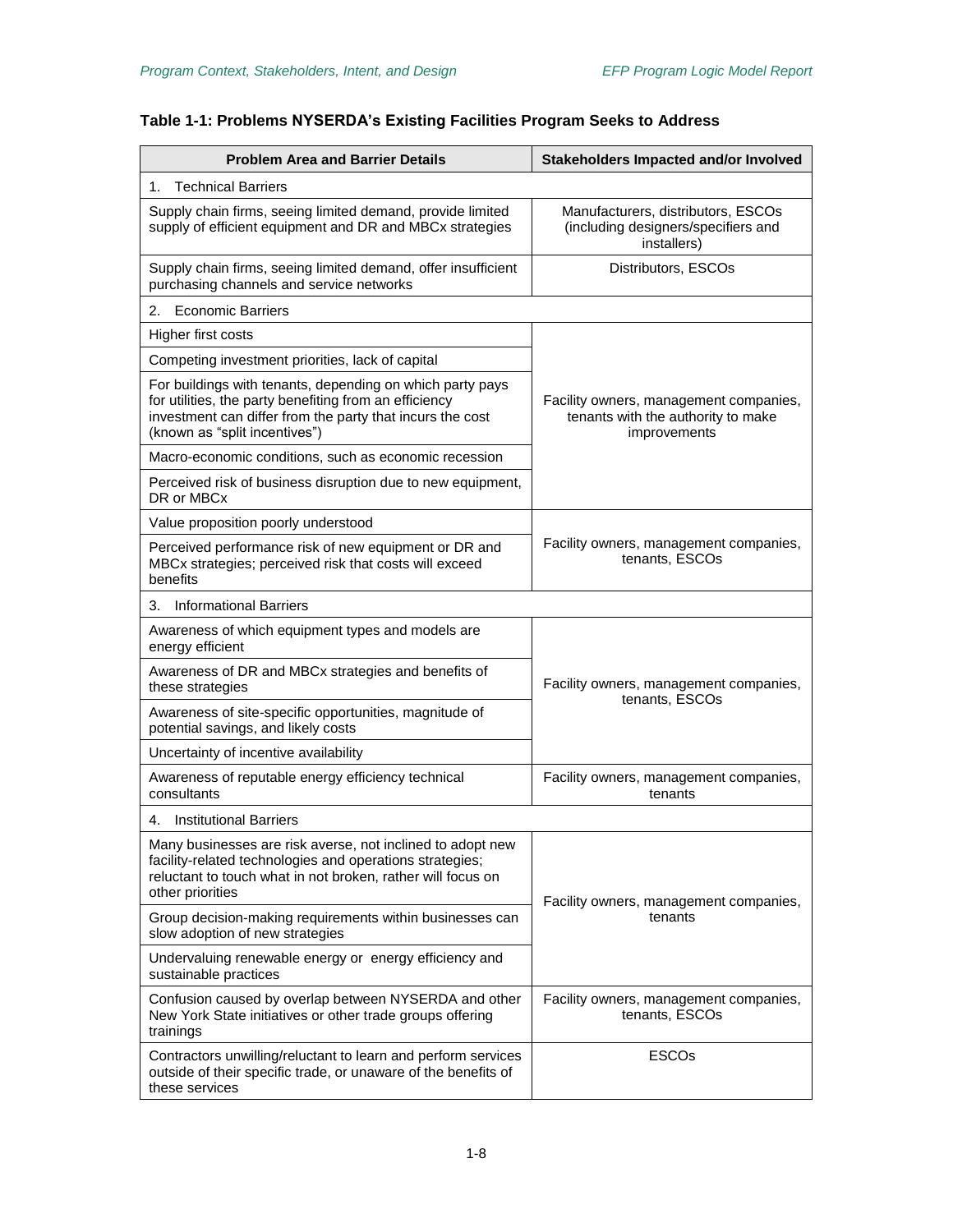### <span id="page-17-0"></span>**Table 1-1: Problems NYSERDA's Existing Facilities Program Seeks to Address**

| <b>Problem Area and Barrier Details</b>                                                                                                                                                                           | <b>Stakeholders Impacted and/or Involved</b>                                                 |  |  |
|-------------------------------------------------------------------------------------------------------------------------------------------------------------------------------------------------------------------|----------------------------------------------------------------------------------------------|--|--|
| <b>Technical Barriers</b><br>1.                                                                                                                                                                                   |                                                                                              |  |  |
| Supply chain firms, seeing limited demand, provide limited<br>supply of efficient equipment and DR and MBCx strategies                                                                                            | Manufacturers, distributors, ESCOs<br>(including designers/specifiers and<br>installers)     |  |  |
| Supply chain firms, seeing limited demand, offer insufficient<br>purchasing channels and service networks                                                                                                         | Distributors, ESCOs                                                                          |  |  |
| <b>Economic Barriers</b><br>2.                                                                                                                                                                                    |                                                                                              |  |  |
| Higher first costs                                                                                                                                                                                                |                                                                                              |  |  |
| Competing investment priorities, lack of capital                                                                                                                                                                  |                                                                                              |  |  |
| For buildings with tenants, depending on which party pays<br>for utilities, the party benefiting from an efficiency<br>investment can differ from the party that incurs the cost<br>(known as "split incentives") | Facility owners, management companies,<br>tenants with the authority to make<br>improvements |  |  |
| Macro-economic conditions, such as economic recession                                                                                                                                                             |                                                                                              |  |  |
| Perceived risk of business disruption due to new equipment,<br>DR or MBCx                                                                                                                                         |                                                                                              |  |  |
| Value proposition poorly understood                                                                                                                                                                               |                                                                                              |  |  |
| Perceived performance risk of new equipment or DR and<br>MBCx strategies; perceived risk that costs will exceed<br>benefits                                                                                       | Facility owners, management companies,<br>tenants, ESCOs                                     |  |  |
| <b>Informational Barriers</b><br>3.                                                                                                                                                                               |                                                                                              |  |  |
| Awareness of which equipment types and models are<br>energy efficient                                                                                                                                             |                                                                                              |  |  |
| Awareness of DR and MBCx strategies and benefits of<br>these strategies                                                                                                                                           | Facility owners, management companies,                                                       |  |  |
| Awareness of site-specific opportunities, magnitude of<br>potential savings, and likely costs                                                                                                                     | tenants, ESCOs                                                                               |  |  |
| Uncertainty of incentive availability                                                                                                                                                                             |                                                                                              |  |  |
| Awareness of reputable energy efficiency technical<br>consultants                                                                                                                                                 | Facility owners, management companies,<br>tenants                                            |  |  |
| <b>Institutional Barriers</b><br>4.                                                                                                                                                                               |                                                                                              |  |  |
| Many businesses are risk averse, not inclined to adopt new<br>facility-related technologies and operations strategies;<br>reluctant to touch what in not broken, rather will focus on<br>other priorities         | Facility owners, management companies,<br>tenants                                            |  |  |
| Group decision-making requirements within businesses can<br>slow adoption of new strategies                                                                                                                       |                                                                                              |  |  |
| Undervaluing renewable energy or energy efficiency and<br>sustainable practices                                                                                                                                   |                                                                                              |  |  |
| Confusion caused by overlap between NYSERDA and other<br>New York State initiatives or other trade groups offering<br>trainings                                                                                   | Facility owners, management companies,<br>tenants, ESCOs                                     |  |  |
| Contractors unwilling/reluctant to learn and perform services<br>outside of their specific trade, or unaware of the benefits of<br>these services                                                                 | <b>ESCOs</b>                                                                                 |  |  |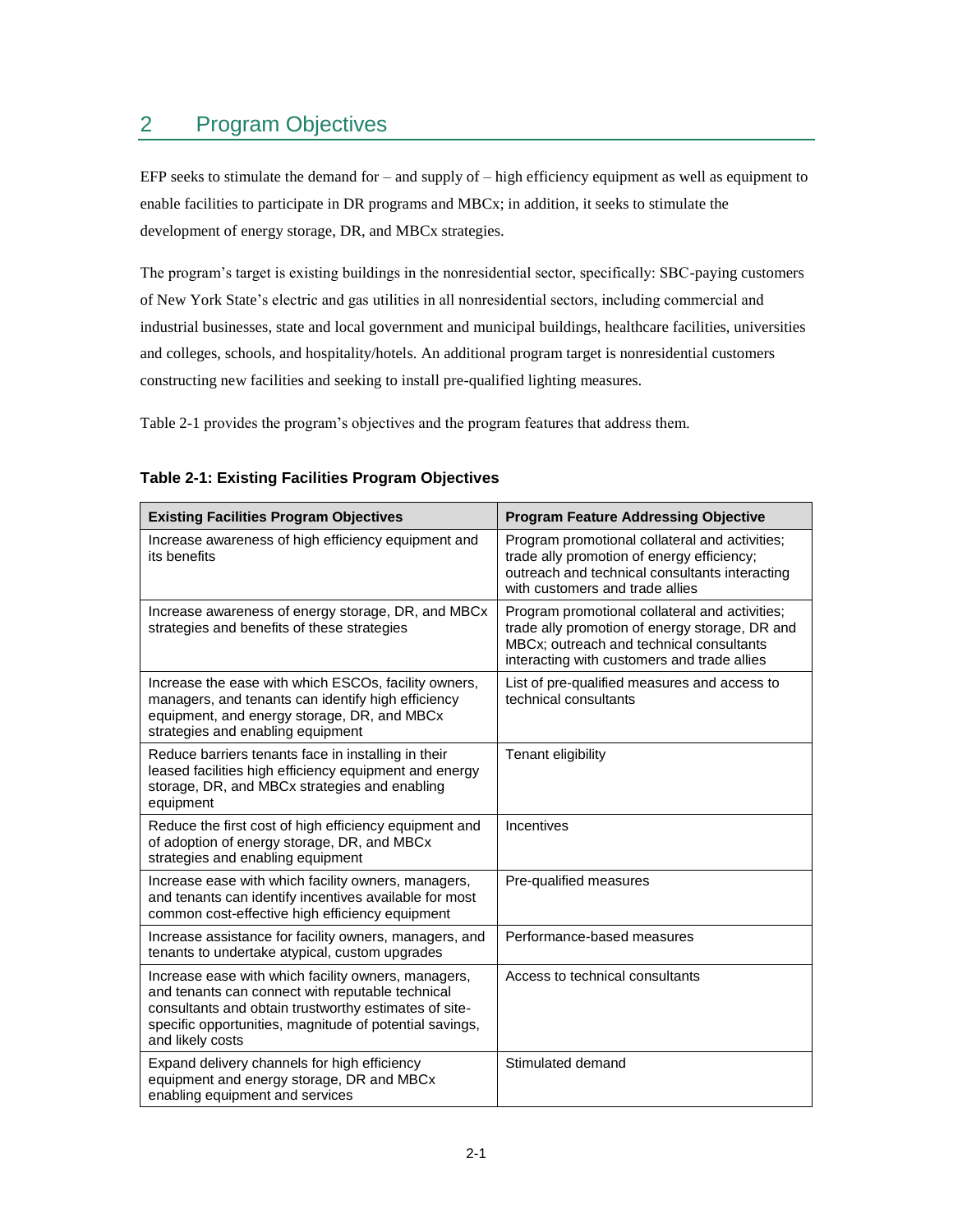# <span id="page-18-0"></span>2 Program Objectives

EFP seeks to stimulate the demand for – and supply of – high efficiency equipment as well as equipment to enable facilities to participate in DR programs and MBCx; in addition, it seeks to stimulate the development of energy storage, DR, and MBCx strategies.

The program's target is existing buildings in the nonresidential sector, specifically: SBC-paying customers of New York State's electric and gas utilities in all nonresidential sectors, including commercial and industrial businesses, state and local government and municipal buildings, healthcare facilities, universities and colleges, schools, and hospitality/hotels. An additional program target is nonresidential customers constructing new facilities and seeking to install pre-qualified lighting measures.

[Table 2-1](#page-18-1) provides the program's objectives and the program features that address them.

| <b>Existing Facilities Program Objectives</b>                                                                                                                                                                                                   | <b>Program Feature Addressing Objective</b>                                                                                                                                                 |
|-------------------------------------------------------------------------------------------------------------------------------------------------------------------------------------------------------------------------------------------------|---------------------------------------------------------------------------------------------------------------------------------------------------------------------------------------------|
| Increase awareness of high efficiency equipment and<br>its benefits                                                                                                                                                                             | Program promotional collateral and activities;<br>trade ally promotion of energy efficiency;<br>outreach and technical consultants interacting<br>with customers and trade allies           |
| Increase awareness of energy storage, DR, and MBCx<br>strategies and benefits of these strategies                                                                                                                                               | Program promotional collateral and activities;<br>trade ally promotion of energy storage, DR and<br>MBCx; outreach and technical consultants<br>interacting with customers and trade allies |
| Increase the ease with which ESCOs, facility owners,<br>managers, and tenants can identify high efficiency<br>equipment, and energy storage, DR, and MBCx<br>strategies and enabling equipment                                                  | List of pre-qualified measures and access to<br>technical consultants                                                                                                                       |
| Reduce barriers tenants face in installing in their<br>leased facilities high efficiency equipment and energy<br>storage, DR, and MBCx strategies and enabling<br>equipment                                                                     | Tenant eligibility                                                                                                                                                                          |
| Reduce the first cost of high efficiency equipment and<br>of adoption of energy storage, DR, and MBCx<br>strategies and enabling equipment                                                                                                      | Incentives                                                                                                                                                                                  |
| Increase ease with which facility owners, managers,<br>and tenants can identify incentives available for most<br>common cost-effective high efficiency equipment                                                                                | Pre-qualified measures                                                                                                                                                                      |
| Increase assistance for facility owners, managers, and<br>tenants to undertake atypical, custom upgrades                                                                                                                                        | Performance-based measures                                                                                                                                                                  |
| Increase ease with which facility owners, managers,<br>and tenants can connect with reputable technical<br>consultants and obtain trustworthy estimates of site-<br>specific opportunities, magnitude of potential savings,<br>and likely costs | Access to technical consultants                                                                                                                                                             |
| Expand delivery channels for high efficiency<br>equipment and energy storage, DR and MBCx<br>enabling equipment and services                                                                                                                    | Stimulated demand                                                                                                                                                                           |

#### <span id="page-18-1"></span>**Table 2-1: Existing Facilities Program Objectives**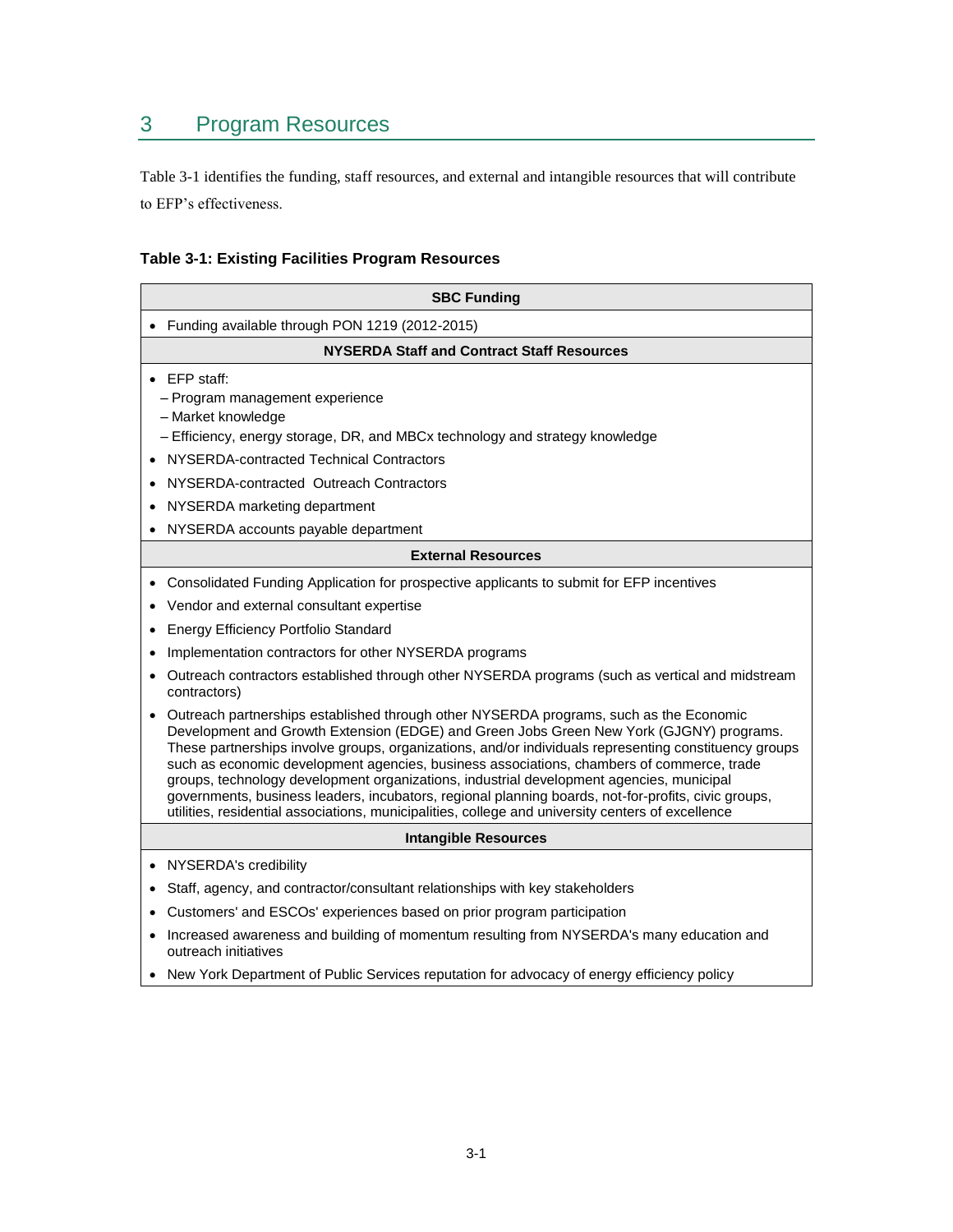# <span id="page-20-0"></span>3 Program Resources

[Table 3-1](#page-20-1) identifies the funding, staff resources, and external and intangible resources that will contribute to EFP's effectiveness.

## <span id="page-20-1"></span>**Table 3-1: Existing Facilities Program Resources**

| <b>SBC Funding</b>                                                                                                                                                                                                                                                                                                                                                                                                                                                                                                                                                                                                                                                                                                                                                                                                                                                                                                                                                                                                                                                                   |  |  |
|--------------------------------------------------------------------------------------------------------------------------------------------------------------------------------------------------------------------------------------------------------------------------------------------------------------------------------------------------------------------------------------------------------------------------------------------------------------------------------------------------------------------------------------------------------------------------------------------------------------------------------------------------------------------------------------------------------------------------------------------------------------------------------------------------------------------------------------------------------------------------------------------------------------------------------------------------------------------------------------------------------------------------------------------------------------------------------------|--|--|
| Funding available through PON 1219 (2012-2015)                                                                                                                                                                                                                                                                                                                                                                                                                                                                                                                                                                                                                                                                                                                                                                                                                                                                                                                                                                                                                                       |  |  |
| NYSERDA Staff and Contract Staff Resources                                                                                                                                                                                                                                                                                                                                                                                                                                                                                                                                                                                                                                                                                                                                                                                                                                                                                                                                                                                                                                           |  |  |
| EFP staff:<br>- Program management experience<br>- Market knowledge<br>- Efficiency, energy storage, DR, and MBCx technology and strategy knowledge<br>NYSERDA-contracted Technical Contractors<br>NYSERDA-contracted Outreach Contractors<br>NYSERDA marketing department<br>NYSERDA accounts payable department                                                                                                                                                                                                                                                                                                                                                                                                                                                                                                                                                                                                                                                                                                                                                                    |  |  |
| <b>External Resources</b>                                                                                                                                                                                                                                                                                                                                                                                                                                                                                                                                                                                                                                                                                                                                                                                                                                                                                                                                                                                                                                                            |  |  |
| Consolidated Funding Application for prospective applicants to submit for EFP incentives<br>٠<br>Vendor and external consultant expertise<br><b>Energy Efficiency Portfolio Standard</b><br>Implementation contractors for other NYSERDA programs<br>Outreach contractors established through other NYSERDA programs (such as vertical and midstream<br>$\bullet$<br>contractors)<br>Outreach partnerships established through other NYSERDA programs, such as the Economic<br>Development and Growth Extension (EDGE) and Green Jobs Green New York (GJGNY) programs.<br>These partnerships involve groups, organizations, and/or individuals representing constituency groups<br>such as economic development agencies, business associations, chambers of commerce, trade<br>groups, technology development organizations, industrial development agencies, municipal<br>governments, business leaders, incubators, regional planning boards, not-for-profits, civic groups,<br>utilities, residential associations, municipalities, college and university centers of excellence |  |  |
| <b>Intangible Resources</b>                                                                                                                                                                                                                                                                                                                                                                                                                                                                                                                                                                                                                                                                                                                                                                                                                                                                                                                                                                                                                                                          |  |  |
| NYSERDA's credibility<br>$\bullet$                                                                                                                                                                                                                                                                                                                                                                                                                                                                                                                                                                                                                                                                                                                                                                                                                                                                                                                                                                                                                                                   |  |  |
| Staff, agency, and contractor/consultant relationships with key stakeholders                                                                                                                                                                                                                                                                                                                                                                                                                                                                                                                                                                                                                                                                                                                                                                                                                                                                                                                                                                                                         |  |  |
| Customers' and ESCOs' experiences based on prior program participation                                                                                                                                                                                                                                                                                                                                                                                                                                                                                                                                                                                                                                                                                                                                                                                                                                                                                                                                                                                                               |  |  |
| Increased awareness and building of momentum resulting from NYSERDA's many education and                                                                                                                                                                                                                                                                                                                                                                                                                                                                                                                                                                                                                                                                                                                                                                                                                                                                                                                                                                                             |  |  |

- outreach initiatives
- New York Department of Public Services reputation for advocacy of energy efficiency policy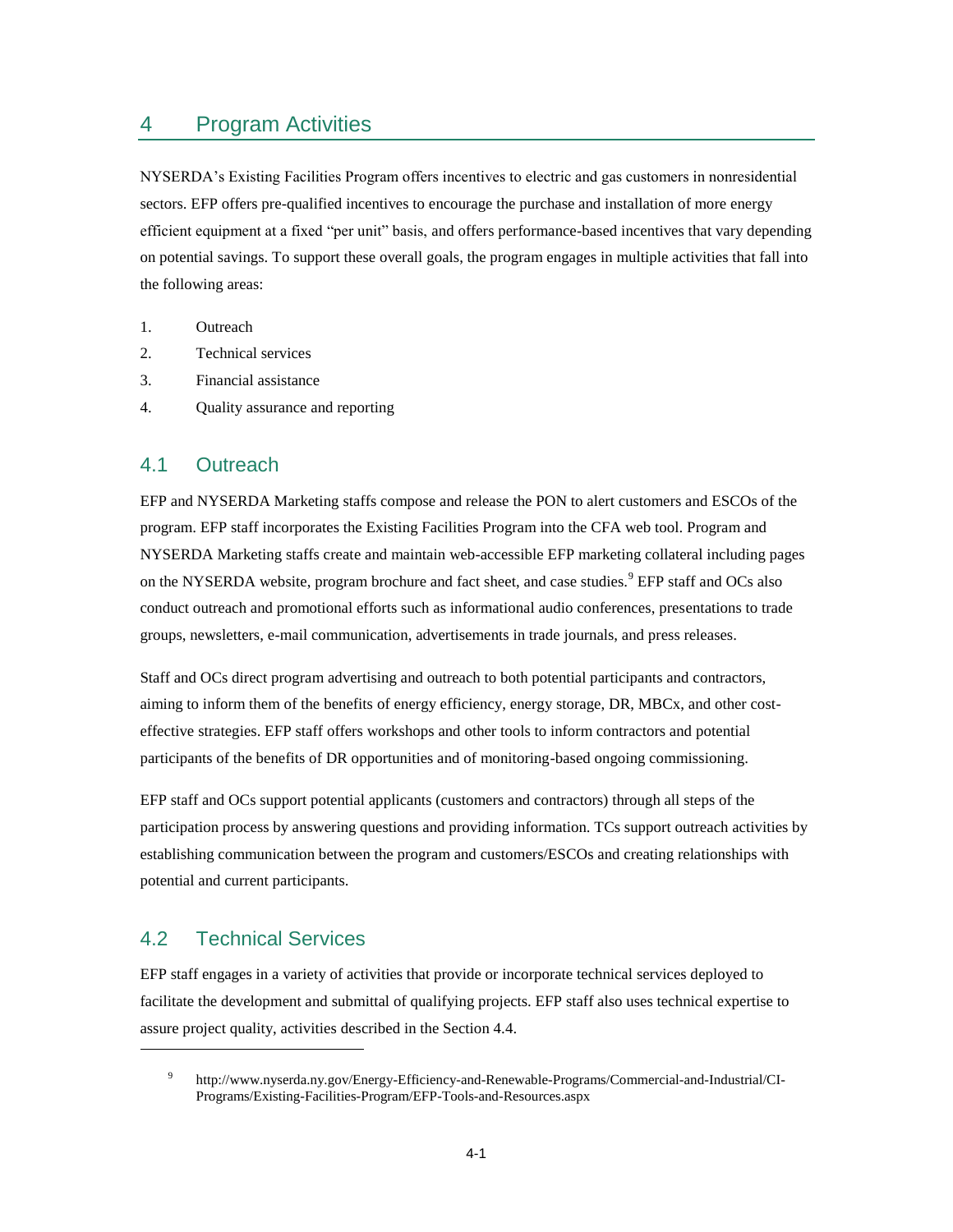## <span id="page-22-0"></span>4 Program Activities

NYSERDA's Existing Facilities Program offers incentives to electric and gas customers in nonresidential sectors. EFP offers pre-qualified incentives to encourage the purchase and installation of more energy efficient equipment at a fixed "per unit" basis, and offers performance-based incentives that vary depending on potential savings. To support these overall goals, the program engages in multiple activities that fall into the following areas:

- 1. Outreach
- 2. Technical services
- 3. Financial assistance
- <span id="page-22-1"></span>4. Quality assurance and reporting

#### 4.1 Outreach

EFP and NYSERDA Marketing staffs compose and release the PON to alert customers and ESCOs of the program. EFP staff incorporates the Existing Facilities Program into the CFA web tool. Program and NYSERDA Marketing staffs create and maintain web-accessible EFP marketing collateral including pages on the NYSERDA website, program brochure and fact sheet, and case studies.<sup>9</sup> EFP staff and OCs also conduct outreach and promotional efforts such as informational audio conferences, presentations to trade groups, newsletters, e-mail communication, advertisements in trade journals, and press releases.

Staff and OCs direct program advertising and outreach to both potential participants and contractors, aiming to inform them of the benefits of energy efficiency, energy storage, DR, MBCx, and other costeffective strategies. EFP staff offers workshops and other tools to inform contractors and potential participants of the benefits of DR opportunities and of monitoring-based ongoing commissioning.

EFP staff and OCs support potential applicants (customers and contractors) through all steps of the participation process by answering questions and providing information. TCs support outreach activities by establishing communication between the program and customers/ESCOs and creating relationships with potential and current participants.

## <span id="page-22-2"></span>4.2 Technical Services

 $\overline{a}$ 

EFP staff engages in a variety of activities that provide or incorporate technical services deployed to facilitate the development and submittal of qualifying projects. EFP staff also uses technical expertise to assure project quality, activities described in the Section 4.4.

<sup>9</sup> http://www.nyserda.ny.gov/Energy-Efficiency-and-Renewable-Programs/Commercial-and-Industrial/CI-Programs/Existing-Facilities-Program/EFP-Tools-and-Resources.aspx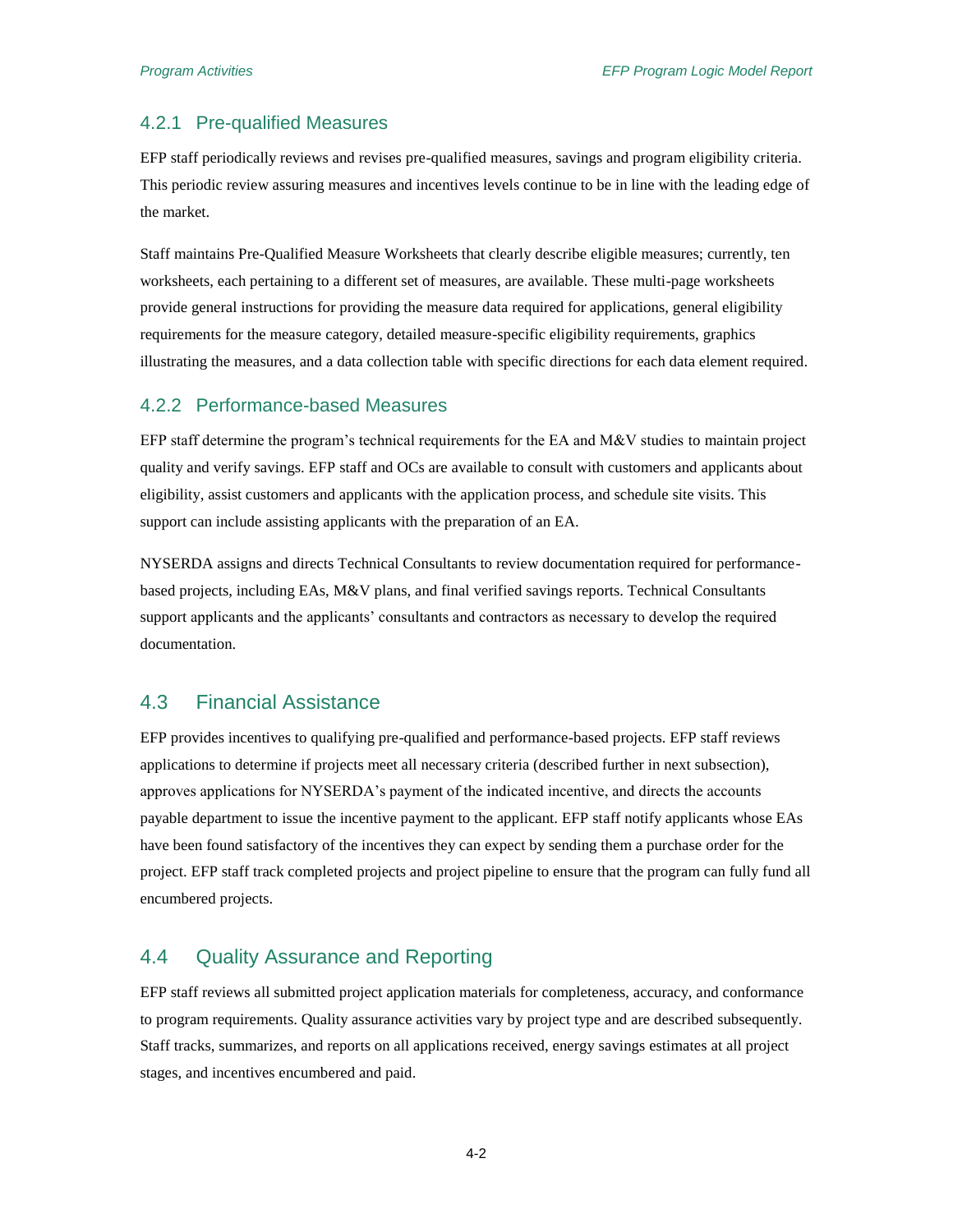#### <span id="page-23-0"></span>4.2.1 Pre-qualified Measures

EFP staff periodically reviews and revises pre-qualified measures, savings and program eligibility criteria. This periodic review assuring measures and incentives levels continue to be in line with the leading edge of the market.

Staff maintains Pre-Qualified Measure Worksheets that clearly describe eligible measures; currently, ten worksheets, each pertaining to a different set of measures, are available. These multi-page worksheets provide general instructions for providing the measure data required for applications, general eligibility requirements for the measure category, detailed measure-specific eligibility requirements, graphics illustrating the measures, and a data collection table with specific directions for each data element required.

#### <span id="page-23-1"></span>4.2.2 Performance-based Measures

EFP staff determine the program's technical requirements for the EA and M&V studies to maintain project quality and verify savings. EFP staff and OCs are available to consult with customers and applicants about eligibility, assist customers and applicants with the application process, and schedule site visits. This support can include assisting applicants with the preparation of an EA.

NYSERDA assigns and directs Technical Consultants to review documentation required for performancebased projects, including EAs, M&V plans, and final verified savings reports. Technical Consultants support applicants and the applicants' consultants and contractors as necessary to develop the required documentation.

#### <span id="page-23-2"></span>4.3 Financial Assistance

EFP provides incentives to qualifying pre-qualified and performance-based projects. EFP staff reviews applications to determine if projects meet all necessary criteria (described further in next subsection), approves applications for NYSERDA's payment of the indicated incentive, and directs the accounts payable department to issue the incentive payment to the applicant. EFP staff notify applicants whose EAs have been found satisfactory of the incentives they can expect by sending them a purchase order for the project. EFP staff track completed projects and project pipeline to ensure that the program can fully fund all encumbered projects.

#### <span id="page-23-3"></span>4.4 Quality Assurance and Reporting

EFP staff reviews all submitted project application materials for completeness, accuracy, and conformance to program requirements. Quality assurance activities vary by project type and are described subsequently. Staff tracks, summarizes, and reports on all applications received, energy savings estimates at all project stages, and incentives encumbered and paid.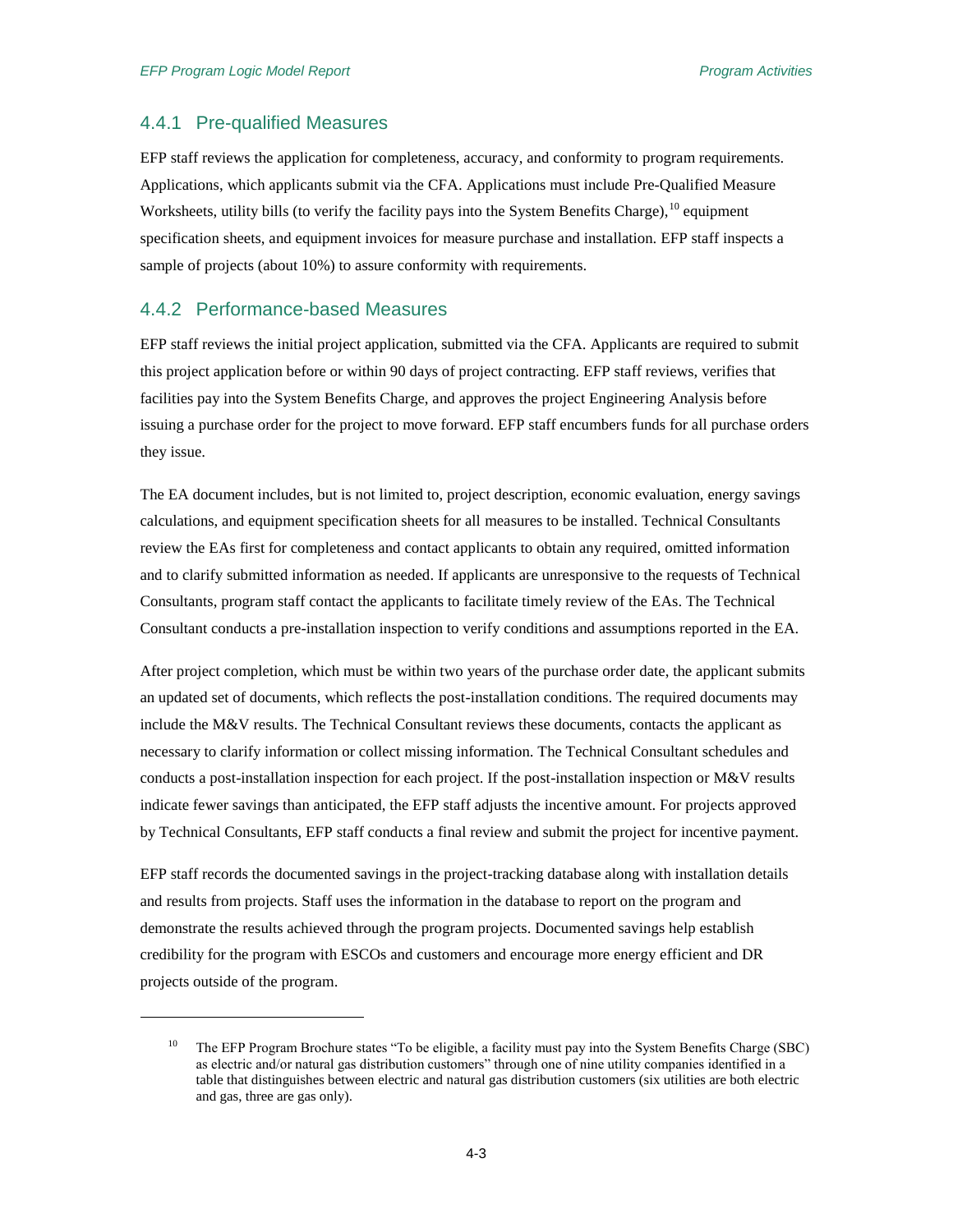$\overline{a}$ 

#### <span id="page-24-0"></span>4.4.1 Pre-qualified Measures

EFP staff reviews the application for completeness, accuracy, and conformity to program requirements. Applications, which applicants submit via the CFA. Applications must include Pre-Qualified Measure Worksheets, utility bills (to verify the facility pays into the System Benefits Charge),<sup>10</sup> equipment specification sheets, and equipment invoices for measure purchase and installation. EFP staff inspects a sample of projects (about 10%) to assure conformity with requirements.

#### <span id="page-24-1"></span>4.4.2 Performance-based Measures

EFP staff reviews the initial project application, submitted via the CFA. Applicants are required to submit this project application before or within 90 days of project contracting. EFP staff reviews, verifies that facilities pay into the System Benefits Charge, and approves the project Engineering Analysis before issuing a purchase order for the project to move forward. EFP staff encumbers funds for all purchase orders they issue.

The EA document includes, but is not limited to, project description, economic evaluation, energy savings calculations, and equipment specification sheets for all measures to be installed. Technical Consultants review the EAs first for completeness and contact applicants to obtain any required, omitted information and to clarify submitted information as needed. If applicants are unresponsive to the requests of Technical Consultants, program staff contact the applicants to facilitate timely review of the EAs. The Technical Consultant conducts a pre-installation inspection to verify conditions and assumptions reported in the EA.

After project completion, which must be within two years of the purchase order date, the applicant submits an updated set of documents, which reflects the post-installation conditions. The required documents may include the M&V results. The Technical Consultant reviews these documents, contacts the applicant as necessary to clarify information or collect missing information. The Technical Consultant schedules and conducts a post-installation inspection for each project. If the post-installation inspection or M&V results indicate fewer savings than anticipated, the EFP staff adjusts the incentive amount. For projects approved by Technical Consultants, EFP staff conducts a final review and submit the project for incentive payment.

EFP staff records the documented savings in the project-tracking database along with installation details and results from projects. Staff uses the information in the database to report on the program and demonstrate the results achieved through the program projects. Documented savings help establish credibility for the program with ESCOs and customers and encourage more energy efficient and DR projects outside of the program.

<sup>10</sup> The EFP Program Brochure states "To be eligible, a facility must pay into the System Benefits Charge (SBC) as electric and/or natural gas distribution customers" through one of nine utility companies identified in a table that distinguishes between electric and natural gas distribution customers (six utilities are both electric and gas, three are gas only).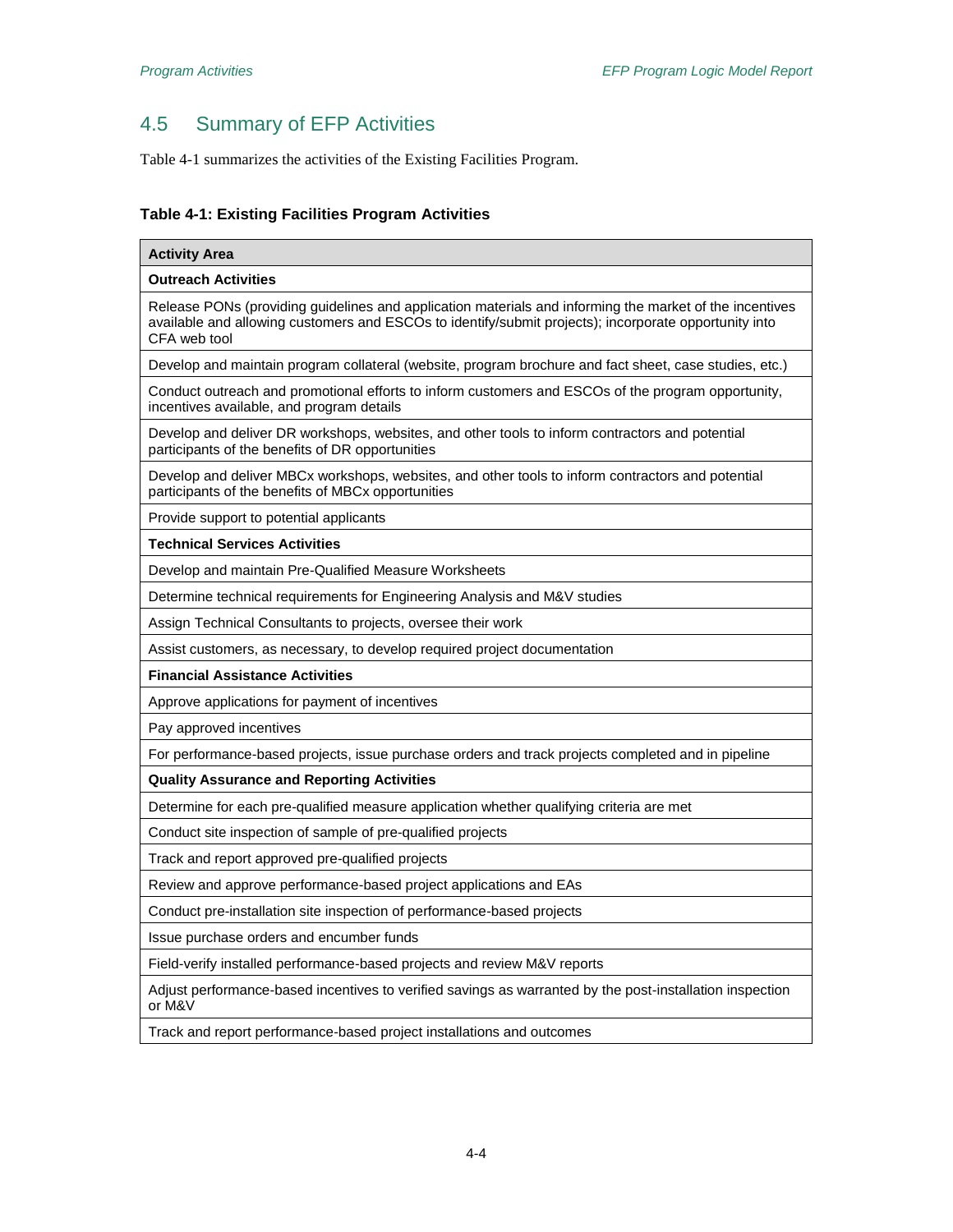# <span id="page-25-0"></span>4.5 Summary of EFP Activities

[Table 4-1](#page-25-1) summarizes the activities of the Existing Facilities Program.

#### <span id="page-25-1"></span>**Table 4-1: Existing Facilities Program Activities**

| <b>Activity Area</b>                                                                                                                                                                                                             |
|----------------------------------------------------------------------------------------------------------------------------------------------------------------------------------------------------------------------------------|
| <b>Outreach Activities</b>                                                                                                                                                                                                       |
| Release PONs (providing guidelines and application materials and informing the market of the incentives<br>available and allowing customers and ESCOs to identify/submit projects); incorporate opportunity into<br>CFA web tool |
| Develop and maintain program collateral (website, program brochure and fact sheet, case studies, etc.)                                                                                                                           |
| Conduct outreach and promotional efforts to inform customers and ESCOs of the program opportunity,<br>incentives available, and program details                                                                                  |
| Develop and deliver DR workshops, websites, and other tools to inform contractors and potential<br>participants of the benefits of DR opportunities                                                                              |
| Develop and deliver MBCx workshops, websites, and other tools to inform contractors and potential<br>participants of the benefits of MBCx opportunities                                                                          |
| Provide support to potential applicants                                                                                                                                                                                          |
| <b>Technical Services Activities</b>                                                                                                                                                                                             |
| Develop and maintain Pre-Qualified Measure Worksheets                                                                                                                                                                            |
| Determine technical requirements for Engineering Analysis and M&V studies                                                                                                                                                        |
| Assign Technical Consultants to projects, oversee their work                                                                                                                                                                     |
| Assist customers, as necessary, to develop required project documentation                                                                                                                                                        |
| <b>Financial Assistance Activities</b>                                                                                                                                                                                           |
| Approve applications for payment of incentives                                                                                                                                                                                   |
| Pay approved incentives                                                                                                                                                                                                          |
| For performance-based projects, issue purchase orders and track projects completed and in pipeline                                                                                                                               |
| <b>Quality Assurance and Reporting Activities</b>                                                                                                                                                                                |
| Determine for each pre-qualified measure application whether qualifying criteria are met                                                                                                                                         |
| Conduct site inspection of sample of pre-qualified projects                                                                                                                                                                      |
| Track and report approved pre-qualified projects                                                                                                                                                                                 |
| Review and approve performance-based project applications and EAs                                                                                                                                                                |
| Conduct pre-installation site inspection of performance-based projects                                                                                                                                                           |
| Issue purchase orders and encumber funds                                                                                                                                                                                         |
| Field-verify installed performance-based projects and review M&V reports                                                                                                                                                         |
| Adjust performance-based incentives to verified savings as warranted by the post-installation inspection<br>or M&V                                                                                                               |
| Track and report performance-based project installations and outcomes                                                                                                                                                            |
|                                                                                                                                                                                                                                  |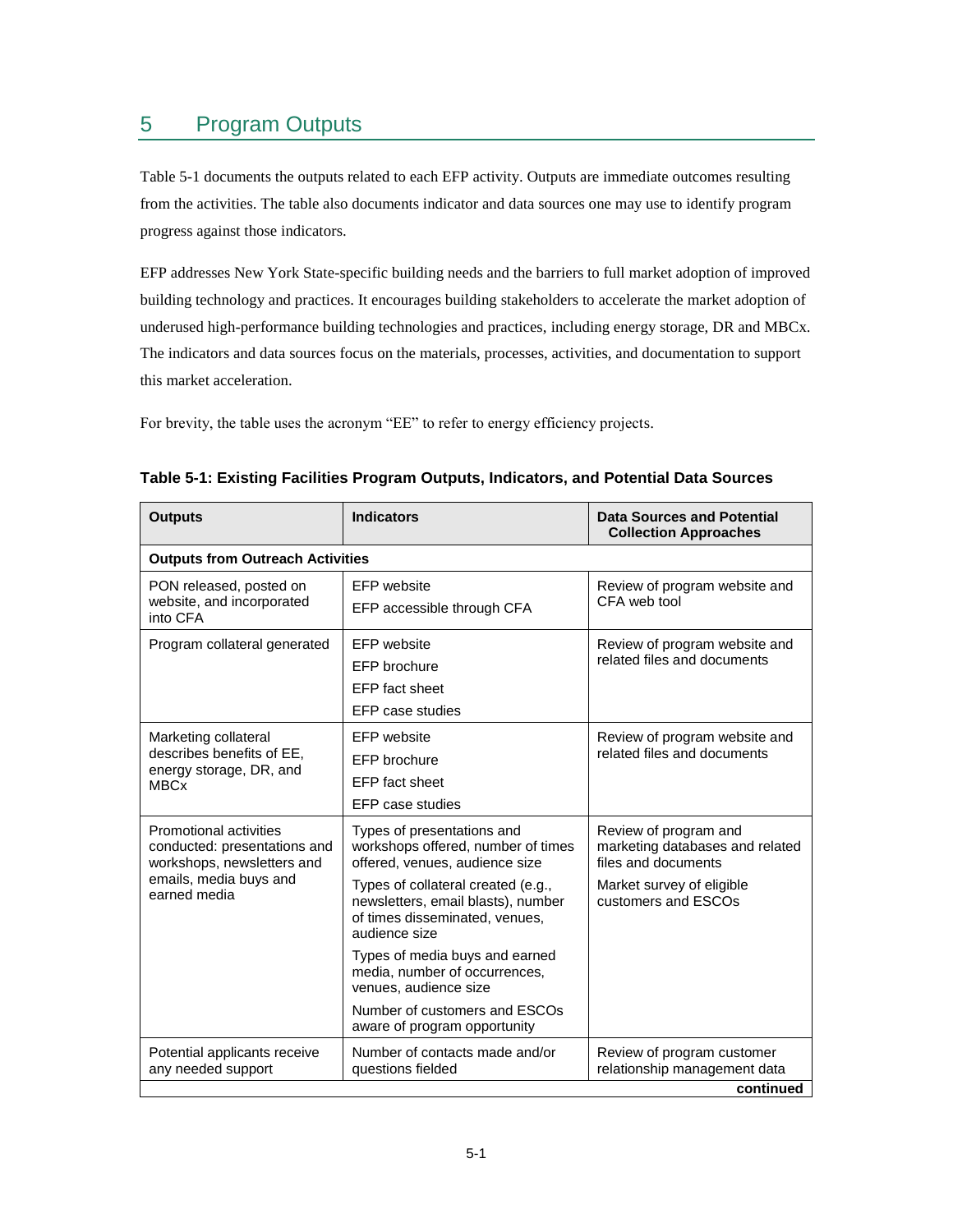## <span id="page-26-0"></span>5 Program Outputs

[Table 5-1](#page-26-1) documents the outputs related to each EFP activity. Outputs are immediate outcomes resulting from the activities. The table also documents indicator and data sources one may use to identify program progress against those indicators.

EFP addresses New York State-specific building needs and the barriers to full market adoption of improved building technology and practices. It encourages building stakeholders to accelerate the market adoption of underused high-performance building technologies and practices, including energy storage, DR and MBCx. The indicators and data sources focus on the materials, processes, activities, and documentation to support this market acceleration.

For brevity, the table uses the acronym "EE" to refer to energy efficiency projects.

| <b>Outputs</b>                                                                                                                 | <b>Indicators</b>                                                                                                           | <b>Data Sources and Potential</b><br><b>Collection Approaches</b>               |  |  |  |
|--------------------------------------------------------------------------------------------------------------------------------|-----------------------------------------------------------------------------------------------------------------------------|---------------------------------------------------------------------------------|--|--|--|
|                                                                                                                                | <b>Outputs from Outreach Activities</b>                                                                                     |                                                                                 |  |  |  |
| PON released, posted on<br>website, and incorporated<br>into CFA                                                               | EFP website<br>EFP accessible through CFA                                                                                   | Review of program website and<br>CFA web tool                                   |  |  |  |
| Program collateral generated                                                                                                   | <b>EFP</b> website<br>EFP brochure<br>EFP fact sheet<br>EFP case studies                                                    | Review of program website and<br>related files and documents                    |  |  |  |
| Marketing collateral<br>describes benefits of EE,<br>energy storage, DR, and<br><b>MBCx</b>                                    | <b>EFP</b> website<br>EFP brochure<br>EFP fact sheet<br>EFP case studies                                                    | Review of program website and<br>related files and documents                    |  |  |  |
| Promotional activities<br>conducted: presentations and<br>workshops, newsletters and<br>emails, media buys and<br>earned media | Types of presentations and<br>workshops offered, number of times<br>offered, venues, audience size                          | Review of program and<br>marketing databases and related<br>files and documents |  |  |  |
|                                                                                                                                | Types of collateral created (e.g.,<br>newsletters, email blasts), number<br>of times disseminated, venues,<br>audience size | Market survey of eligible<br>customers and ESCOs                                |  |  |  |
|                                                                                                                                | Types of media buys and earned<br>media, number of occurrences,<br>venues, audience size                                    |                                                                                 |  |  |  |
|                                                                                                                                | Number of customers and ESCOs<br>aware of program opportunity                                                               |                                                                                 |  |  |  |
| Potential applicants receive<br>any needed support                                                                             | Number of contacts made and/or<br>questions fielded                                                                         | Review of program customer<br>relationship management data                      |  |  |  |
|                                                                                                                                |                                                                                                                             | continued                                                                       |  |  |  |

<span id="page-26-1"></span>

| Table 5-1: Existing Facilities Program Outputs, Indicators, and Potential Data Sources |  |  |  |
|----------------------------------------------------------------------------------------|--|--|--|
|----------------------------------------------------------------------------------------|--|--|--|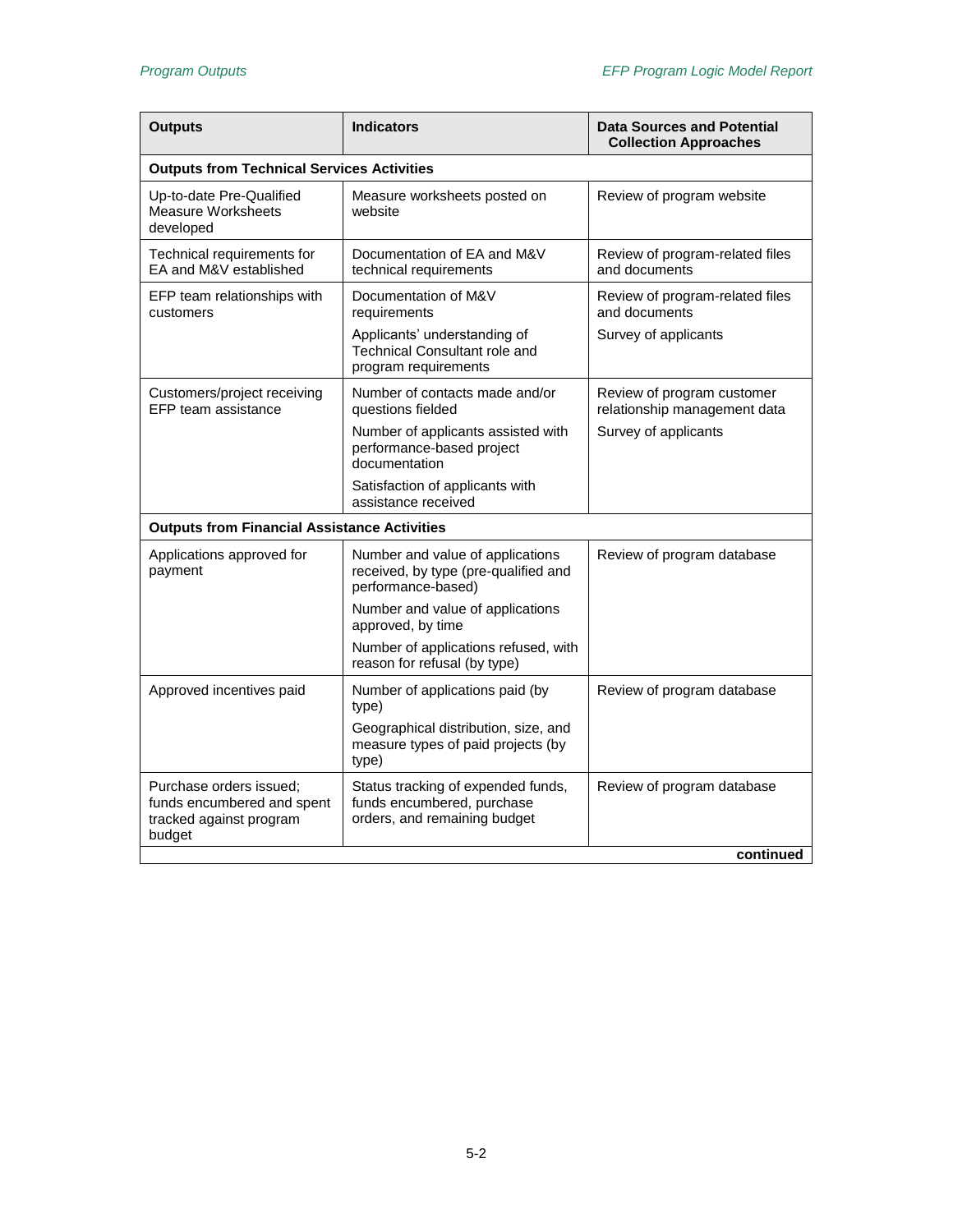| <b>Outputs</b>                                                                             | <b>Indicators</b>                                                                                | <b>Data Sources and Potential</b><br><b>Collection Approaches</b> |
|--------------------------------------------------------------------------------------------|--------------------------------------------------------------------------------------------------|-------------------------------------------------------------------|
| <b>Outputs from Technical Services Activities</b>                                          |                                                                                                  |                                                                   |
| Up-to-date Pre-Qualified<br>Measure Worksheets<br>developed                                | Measure worksheets posted on<br>website                                                          | Review of program website                                         |
| Technical requirements for<br>EA and M&V established                                       | Documentation of EA and M&V<br>technical requirements                                            | Review of program-related files<br>and documents                  |
| EFP team relationships with<br>customers                                                   | Documentation of M&V<br>requirements                                                             | Review of program-related files<br>and documents                  |
|                                                                                            | Applicants' understanding of<br><b>Technical Consultant role and</b><br>program requirements     | Survey of applicants                                              |
| Customers/project receiving<br>EFP team assistance                                         | Number of contacts made and/or<br>questions fielded                                              | Review of program customer<br>relationship management data        |
|                                                                                            | Number of applicants assisted with<br>performance-based project<br>documentation                 | Survey of applicants                                              |
|                                                                                            | Satisfaction of applicants with<br>assistance received                                           |                                                                   |
| <b>Outputs from Financial Assistance Activities</b>                                        |                                                                                                  |                                                                   |
| Applications approved for<br>payment                                                       | Number and value of applications<br>received, by type (pre-qualified and<br>performance-based)   | Review of program database                                        |
|                                                                                            | Number and value of applications<br>approved, by time                                            |                                                                   |
|                                                                                            | Number of applications refused, with<br>reason for refusal (by type)                             |                                                                   |
| Approved incentives paid                                                                   | Number of applications paid (by<br>type)                                                         | Review of program database                                        |
|                                                                                            | Geographical distribution, size, and<br>measure types of paid projects (by<br>type)              |                                                                   |
| Purchase orders issued:<br>funds encumbered and spent<br>tracked against program<br>budget | Status tracking of expended funds,<br>funds encumbered, purchase<br>orders, and remaining budget | Review of program database                                        |
|                                                                                            |                                                                                                  | continued                                                         |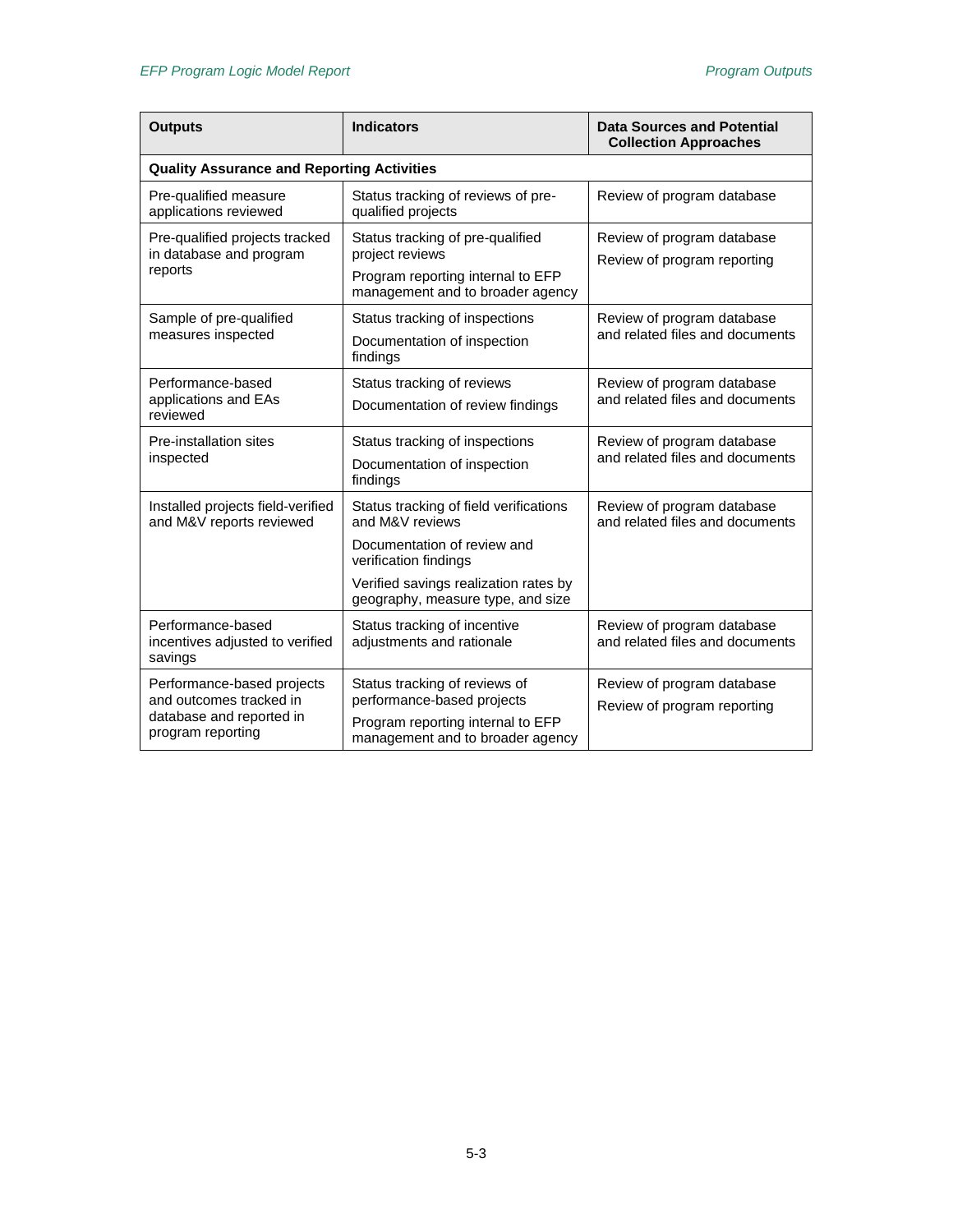| <b>Outputs</b>                                                       | <b>Indicators</b>                                                          | <b>Data Sources and Potential</b><br><b>Collection Approaches</b> |  |  |
|----------------------------------------------------------------------|----------------------------------------------------------------------------|-------------------------------------------------------------------|--|--|
| <b>Quality Assurance and Reporting Activities</b>                    |                                                                            |                                                                   |  |  |
| Pre-qualified measure<br>applications reviewed                       | Status tracking of reviews of pre-<br>qualified projects                   | Review of program database                                        |  |  |
| Pre-qualified projects tracked<br>in database and program<br>reports | Status tracking of pre-qualified<br>project reviews                        | Review of program database<br>Review of program reporting         |  |  |
|                                                                      | Program reporting internal to EFP<br>management and to broader agency      |                                                                   |  |  |
| Sample of pre-qualified<br>measures inspected                        | Status tracking of inspections<br>Documentation of inspection              | Review of program database<br>and related files and documents     |  |  |
|                                                                      | findings                                                                   |                                                                   |  |  |
| Performance-based<br>applications and EAs                            | Status tracking of reviews                                                 | Review of program database<br>and related files and documents     |  |  |
| reviewed                                                             | Documentation of review findings                                           |                                                                   |  |  |
| Pre-installation sites                                               | Status tracking of inspections                                             | Review of program database                                        |  |  |
| inspected                                                            | Documentation of inspection<br>findings                                    | and related files and documents                                   |  |  |
| Installed projects field-verified<br>and M&V reports reviewed        | Status tracking of field verifications<br>and M&V reviews                  | Review of program database<br>and related files and documents     |  |  |
|                                                                      | Documentation of review and<br>verification findings                       |                                                                   |  |  |
|                                                                      | Verified savings realization rates by<br>geography, measure type, and size |                                                                   |  |  |
| Performance-based<br>incentives adjusted to verified<br>savings      | Status tracking of incentive<br>adjustments and rationale                  | Review of program database<br>and related files and documents     |  |  |
| Performance-based projects<br>and outcomes tracked in                | Status tracking of reviews of<br>performance-based projects                | Review of program database<br>Review of program reporting         |  |  |
| database and reported in<br>program reporting                        | Program reporting internal to EFP<br>management and to broader agency      |                                                                   |  |  |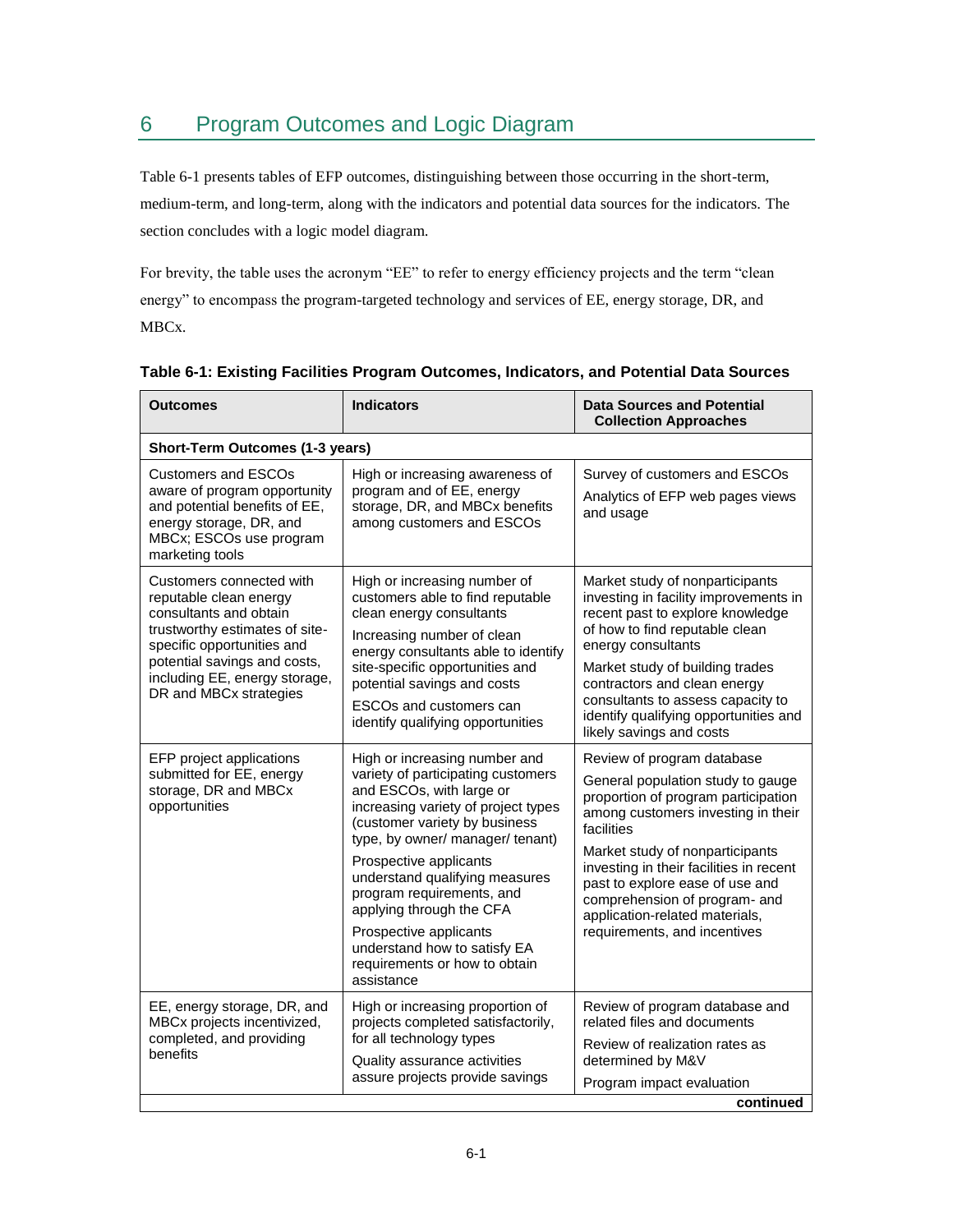# <span id="page-30-0"></span>6 Program Outcomes and Logic Diagram

[Table 6-1](#page-30-1) presents tables of EFP outcomes, distinguishing between those occurring in the short-term, medium-term, and long-term, along with the indicators and potential data sources for the indicators. The section concludes with a logic model diagram.

For brevity, the table uses the acronym "EE" to refer to energy efficiency projects and the term "clean energy" to encompass the program-targeted technology and services of EE, energy storage, DR, and MBCx.

| <b>Outcomes</b>                                                                                                                                                                                                                         | <b>Indicators</b>                                                                                                                                                                                                                                                                                                                                                                                                                         | <b>Data Sources and Potential</b><br><b>Collection Approaches</b>                                                                                                                                                                                                                                                                                                              |  |  |
|-----------------------------------------------------------------------------------------------------------------------------------------------------------------------------------------------------------------------------------------|-------------------------------------------------------------------------------------------------------------------------------------------------------------------------------------------------------------------------------------------------------------------------------------------------------------------------------------------------------------------------------------------------------------------------------------------|--------------------------------------------------------------------------------------------------------------------------------------------------------------------------------------------------------------------------------------------------------------------------------------------------------------------------------------------------------------------------------|--|--|
| Short-Term Outcomes (1-3 years)                                                                                                                                                                                                         |                                                                                                                                                                                                                                                                                                                                                                                                                                           |                                                                                                                                                                                                                                                                                                                                                                                |  |  |
| <b>Customers and ESCOs</b><br>aware of program opportunity<br>and potential benefits of EE,<br>energy storage, DR, and<br>MBCx; ESCOs use program<br>marketing tools                                                                    | High or increasing awareness of<br>program and of EE, energy<br>storage, DR, and MBCx benefits<br>among customers and ESCOs                                                                                                                                                                                                                                                                                                               | Survey of customers and ESCOs<br>Analytics of EFP web pages views<br>and usage                                                                                                                                                                                                                                                                                                 |  |  |
| Customers connected with<br>reputable clean energy<br>consultants and obtain<br>trustworthy estimates of site-<br>specific opportunities and<br>potential savings and costs,<br>including EE, energy storage,<br>DR and MBCx strategies | High or increasing number of<br>customers able to find reputable<br>clean energy consultants<br>Increasing number of clean<br>energy consultants able to identify<br>site-specific opportunities and<br>potential savings and costs<br>ESCOs and customers can<br>identify qualifying opportunities                                                                                                                                       | Market study of nonparticipants<br>investing in facility improvements in<br>recent past to explore knowledge<br>of how to find reputable clean<br>energy consultants<br>Market study of building trades<br>contractors and clean energy<br>consultants to assess capacity to<br>identify qualifying opportunities and<br>likely savings and costs                              |  |  |
| EFP project applications<br>submitted for EE, energy<br>storage, DR and MBCx<br>opportunities                                                                                                                                           | High or increasing number and<br>variety of participating customers<br>and ESCOs, with large or<br>increasing variety of project types<br>(customer variety by business<br>type, by owner/ manager/ tenant)<br>Prospective applicants<br>understand qualifying measures<br>program requirements, and<br>applying through the CFA<br>Prospective applicants<br>understand how to satisfy EA<br>requirements or how to obtain<br>assistance | Review of program database<br>General population study to gauge<br>proportion of program participation<br>among customers investing in their<br>facilities<br>Market study of nonparticipants<br>investing in their facilities in recent<br>past to explore ease of use and<br>comprehension of program- and<br>application-related materials,<br>requirements, and incentives |  |  |
| EE, energy storage, DR, and<br>MBCx projects incentivized,<br>completed, and providing<br>benefits                                                                                                                                      | High or increasing proportion of<br>projects completed satisfactorily,<br>for all technology types<br>Quality assurance activities<br>assure projects provide savings                                                                                                                                                                                                                                                                     | Review of program database and<br>related files and documents<br>Review of realization rates as<br>determined by M&V<br>Program impact evaluation                                                                                                                                                                                                                              |  |  |
| continued                                                                                                                                                                                                                               |                                                                                                                                                                                                                                                                                                                                                                                                                                           |                                                                                                                                                                                                                                                                                                                                                                                |  |  |

#### <span id="page-30-1"></span>**Table 6-1: Existing Facilities Program Outcomes, Indicators, and Potential Data Sources**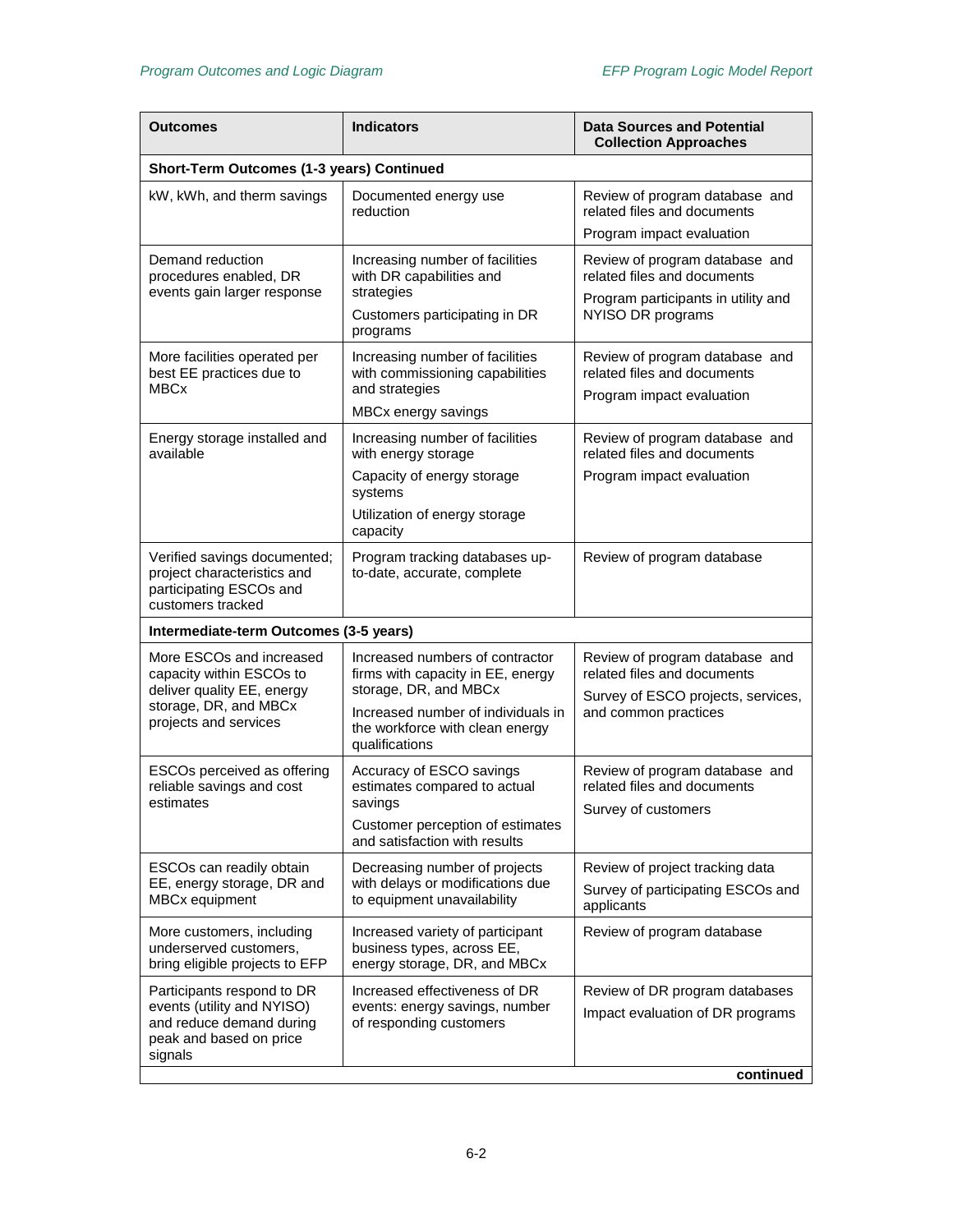| Outcomes                                                                                                                             | <b>Indicators</b>                                                                                | <b>Data Sources and Potential</b><br><b>Collection Approaches</b>                                                           |  |  |
|--------------------------------------------------------------------------------------------------------------------------------------|--------------------------------------------------------------------------------------------------|-----------------------------------------------------------------------------------------------------------------------------|--|--|
| Short-Term Outcomes (1-3 years) Continued                                                                                            |                                                                                                  |                                                                                                                             |  |  |
| kW, kWh, and therm savings                                                                                                           | Documented energy use<br>reduction                                                               | Review of program database and<br>related files and documents                                                               |  |  |
|                                                                                                                                      |                                                                                                  | Program impact evaluation                                                                                                   |  |  |
| Demand reduction<br>procedures enabled, DR<br>events gain larger response                                                            | Increasing number of facilities<br>with DR capabilities and<br>strategies                        | Review of program database and<br>related files and documents<br>Program participants in utility and<br>NYISO DR programs   |  |  |
|                                                                                                                                      | Customers participating in DR<br>programs                                                        |                                                                                                                             |  |  |
| More facilities operated per<br>best EE practices due to                                                                             | Increasing number of facilities<br>with commissioning capabilities                               | Review of program database and<br>related files and documents<br>Program impact evaluation                                  |  |  |
| <b>MBCx</b>                                                                                                                          | and strategies<br>MBCx energy savings                                                            |                                                                                                                             |  |  |
| Energy storage installed and<br>available                                                                                            | Increasing number of facilities<br>with energy storage                                           | Review of program database and<br>related files and documents                                                               |  |  |
|                                                                                                                                      | Capacity of energy storage<br>systems                                                            | Program impact evaluation                                                                                                   |  |  |
|                                                                                                                                      | Utilization of energy storage<br>capacity                                                        |                                                                                                                             |  |  |
| Verified savings documented;<br>project characteristics and<br>participating ESCOs and<br>customers tracked                          | Program tracking databases up-<br>to-date, accurate, complete                                    | Review of program database                                                                                                  |  |  |
| Intermediate-term Outcomes (3-5 years)                                                                                               |                                                                                                  |                                                                                                                             |  |  |
| More ESCOs and increased<br>capacity within ESCOs to<br>deliver quality EE, energy<br>storage, DR, and MBCx<br>projects and services | Increased numbers of contractor<br>firms with capacity in EE, energy<br>storage, DR, and MBCx    | Review of program database and<br>related files and documents<br>Survey of ESCO projects, services,<br>and common practices |  |  |
|                                                                                                                                      | Increased number of individuals in<br>the workforce with clean energy<br>qualifications          |                                                                                                                             |  |  |
| ESCOs perceived as offering<br>reliable savings and cost<br>estimates                                                                | Accuracy of ESCO savings<br>estimates compared to actual<br>savings                              | Review of program database and<br>related files and documents<br>Survey of customers                                        |  |  |
|                                                                                                                                      | Customer perception of estimates<br>and satisfaction with results                                |                                                                                                                             |  |  |
| ESCOs can readily obtain<br>EE, energy storage, DR and<br>MBCx equipment                                                             | Decreasing number of projects<br>with delays or modifications due<br>to equipment unavailability | Review of project tracking data<br>Survey of participating ESCOs and<br>applicants                                          |  |  |
| More customers, including<br>underserved customers,<br>bring eligible projects to EFP                                                | Increased variety of participant<br>business types, across EE,<br>energy storage, DR, and MBCx   | Review of program database                                                                                                  |  |  |
| Participants respond to DR<br>events (utility and NYISO)<br>and reduce demand during<br>peak and based on price<br>signals           | Increased effectiveness of DR<br>events: energy savings, number<br>of responding customers       | Review of DR program databases<br>Impact evaluation of DR programs                                                          |  |  |
|                                                                                                                                      |                                                                                                  | continued                                                                                                                   |  |  |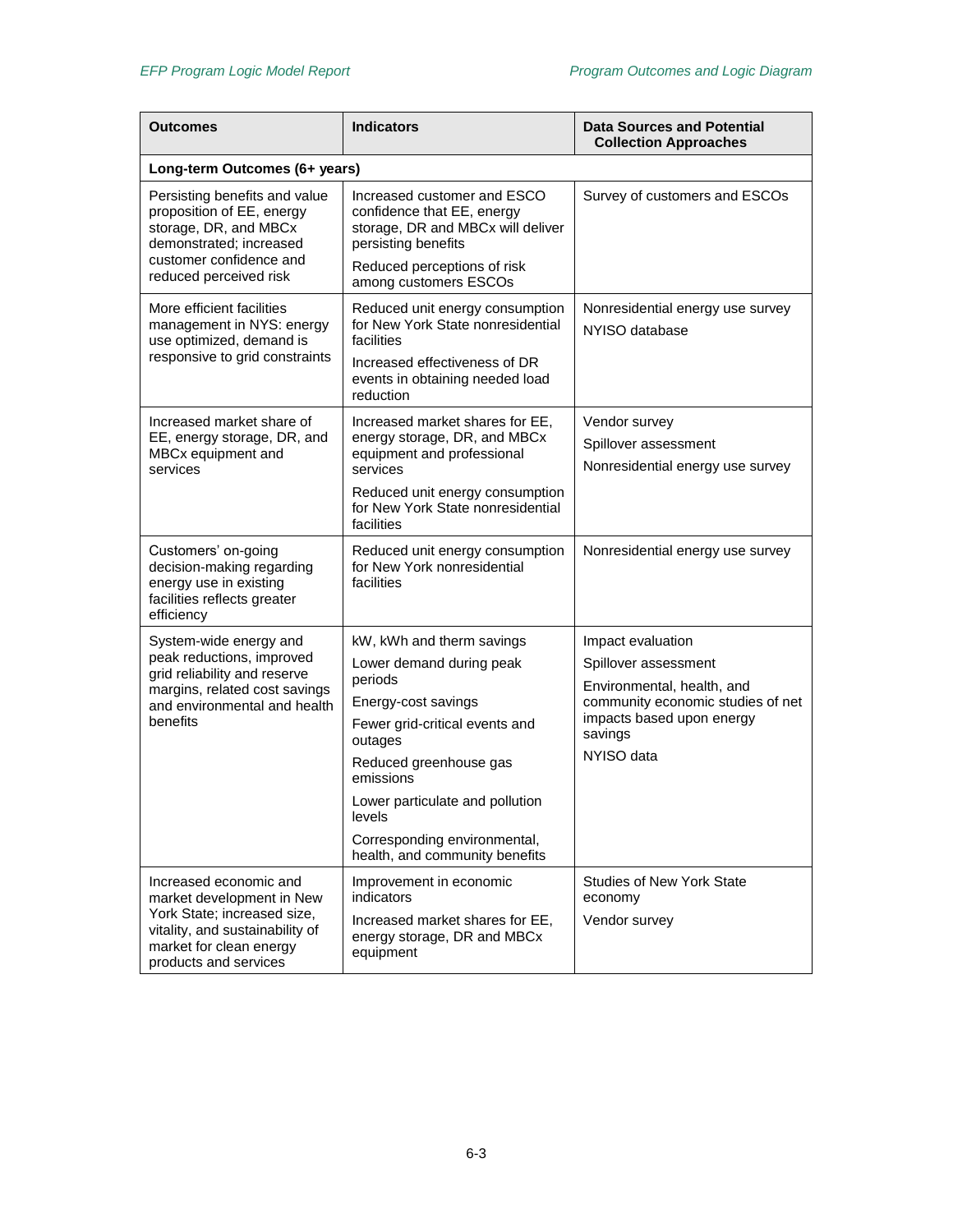| Outcomes                                                                                                                                                                  | <b>Indicators</b>                                                                                                                                                                                                                                                                          | <b>Data Sources and Potential</b><br><b>Collection Approaches</b>                                                                                                  |  |  |
|---------------------------------------------------------------------------------------------------------------------------------------------------------------------------|--------------------------------------------------------------------------------------------------------------------------------------------------------------------------------------------------------------------------------------------------------------------------------------------|--------------------------------------------------------------------------------------------------------------------------------------------------------------------|--|--|
| Long-term Outcomes (6+ years)                                                                                                                                             |                                                                                                                                                                                                                                                                                            |                                                                                                                                                                    |  |  |
| Persisting benefits and value<br>proposition of EE, energy<br>storage, DR, and MBCx<br>demonstrated; increased<br>customer confidence and<br>reduced perceived risk       | Increased customer and ESCO<br>confidence that EE, energy<br>storage, DR and MBCx will deliver<br>persisting benefits<br>Reduced perceptions of risk<br>among customers ESCOs                                                                                                              | Survey of customers and ESCOs                                                                                                                                      |  |  |
| More efficient facilities<br>management in NYS: energy<br>use optimized, demand is<br>responsive to grid constraints                                                      | Reduced unit energy consumption<br>for New York State nonresidential<br>facilities<br>Increased effectiveness of DR<br>events in obtaining needed load<br>reduction                                                                                                                        | Nonresidential energy use survey<br>NYISO database                                                                                                                 |  |  |
| Increased market share of<br>EE, energy storage, DR, and<br>MBCx equipment and<br>services                                                                                | Increased market shares for EE,<br>energy storage, DR, and MBCx<br>equipment and professional<br>services<br>Reduced unit energy consumption<br>for New York State nonresidential<br>facilities                                                                                            | Vendor survey<br>Spillover assessment<br>Nonresidential energy use survey                                                                                          |  |  |
| Customers' on-going<br>decision-making regarding<br>energy use in existing<br>facilities reflects greater<br>efficiency                                                   | Reduced unit energy consumption<br>for New York nonresidential<br>facilities                                                                                                                                                                                                               | Nonresidential energy use survey                                                                                                                                   |  |  |
| System-wide energy and<br>peak reductions, improved<br>grid reliability and reserve<br>margins, related cost savings<br>and environmental and health<br>benefits          | kW, kWh and therm savings<br>Lower demand during peak<br>periods<br>Energy-cost savings<br>Fewer grid-critical events and<br>outages<br>Reduced greenhouse gas<br>emissions<br>Lower particulate and pollution<br>levels<br>Corresponding environmental,<br>health, and community benefits | Impact evaluation<br>Spillover assessment<br>Environmental, health, and<br>community economic studies of net<br>impacts based upon energy<br>savings<br>NYISO data |  |  |
| Increased economic and<br>market development in New<br>York State; increased size,<br>vitality, and sustainability of<br>market for clean energy<br>products and services | Improvement in economic<br>indicators<br>Increased market shares for EE,<br>energy storage, DR and MBCx<br>equipment                                                                                                                                                                       | <b>Studies of New York State</b><br>economy<br>Vendor survey                                                                                                       |  |  |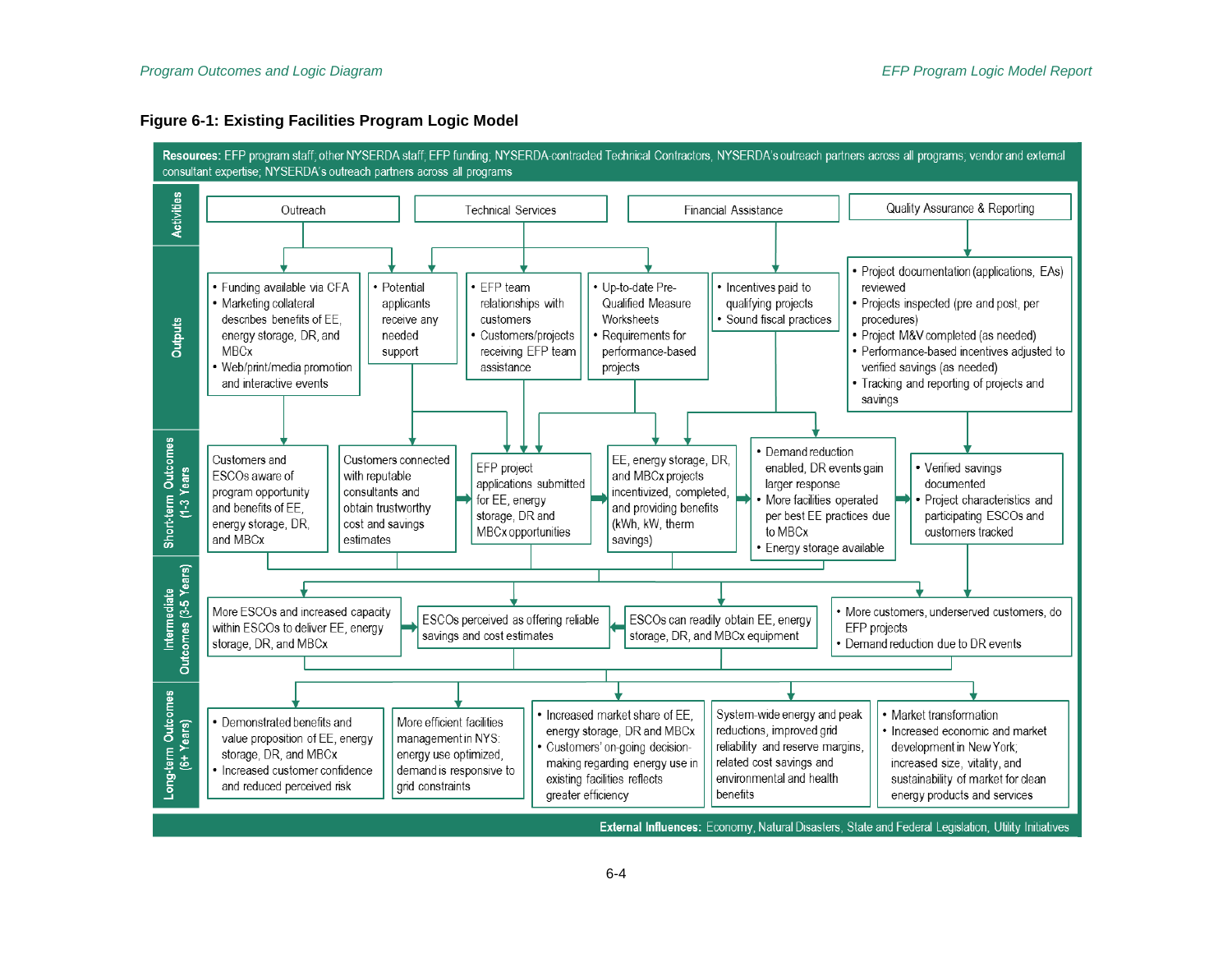#### **Figure 6-1: Existing Facilities Program Logic Model**

<span id="page-33-0"></span>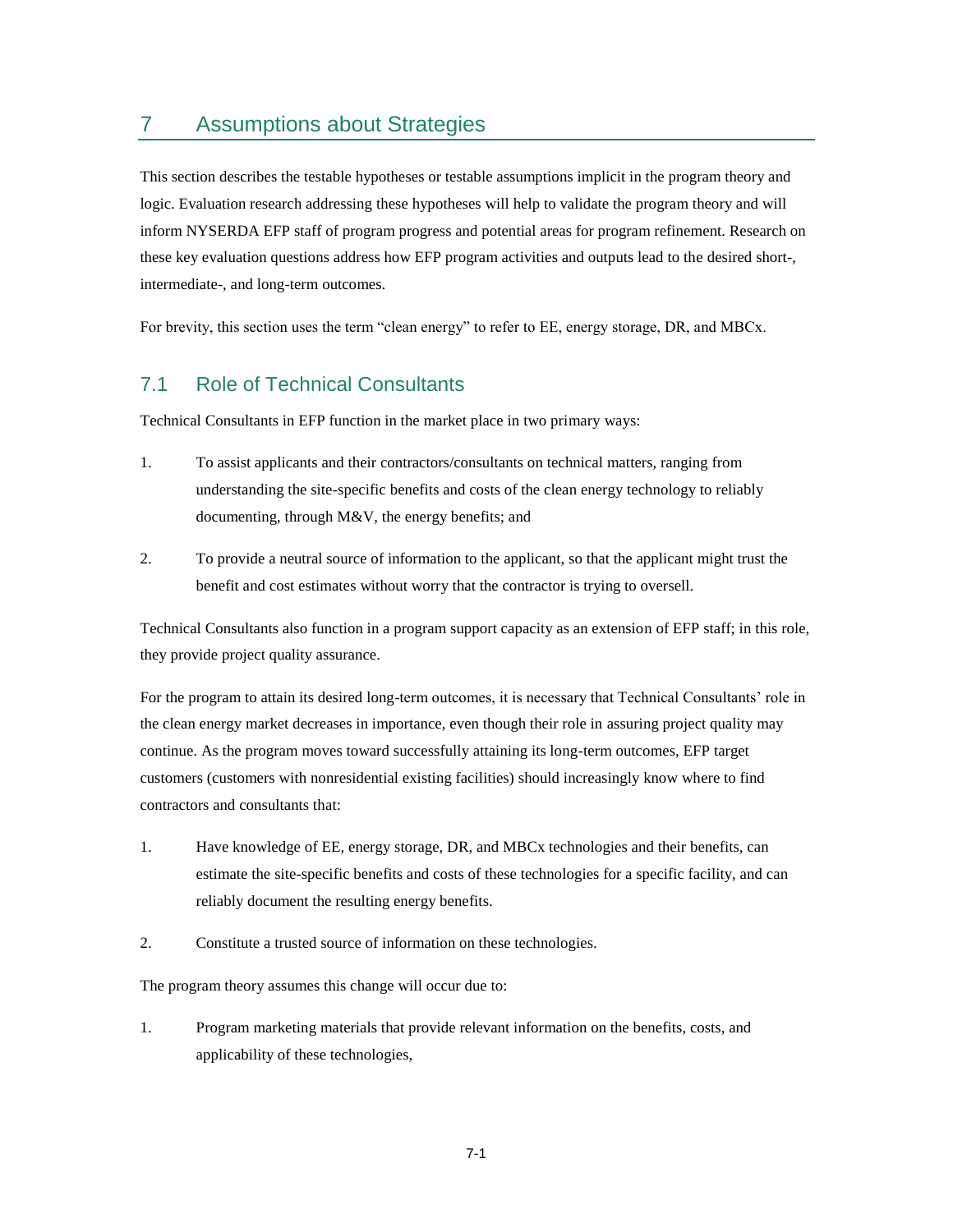## <span id="page-34-0"></span>7 Assumptions about Strategies

This section describes the testable hypotheses or testable assumptions implicit in the program theory and logic. Evaluation research addressing these hypotheses will help to validate the program theory and will inform NYSERDA EFP staff of program progress and potential areas for program refinement. Research on these key evaluation questions address how EFP program activities and outputs lead to the desired short-, intermediate-, and long-term outcomes.

For brevity, this section uses the term "clean energy" to refer to EE, energy storage, DR, and MBCx.

### <span id="page-34-1"></span>7.1 Role of Technical Consultants

Technical Consultants in EFP function in the market place in two primary ways:

- 1. To assist applicants and their contractors/consultants on technical matters, ranging from understanding the site-specific benefits and costs of the clean energy technology to reliably documenting, through M&V, the energy benefits; and
- 2. To provide a neutral source of information to the applicant, so that the applicant might trust the benefit and cost estimates without worry that the contractor is trying to oversell.

Technical Consultants also function in a program support capacity as an extension of EFP staff; in this role, they provide project quality assurance.

For the program to attain its desired long-term outcomes, it is necessary that Technical Consultants' role in the clean energy market decreases in importance, even though their role in assuring project quality may continue. As the program moves toward successfully attaining its long-term outcomes, EFP target customers (customers with nonresidential existing facilities) should increasingly know where to find contractors and consultants that:

- 1. Have knowledge of EE, energy storage, DR, and MBCx technologies and their benefits, can estimate the site-specific benefits and costs of these technologies for a specific facility, and can reliably document the resulting energy benefits.
- 2. Constitute a trusted source of information on these technologies.

The program theory assumes this change will occur due to:

1. Program marketing materials that provide relevant information on the benefits, costs, and applicability of these technologies,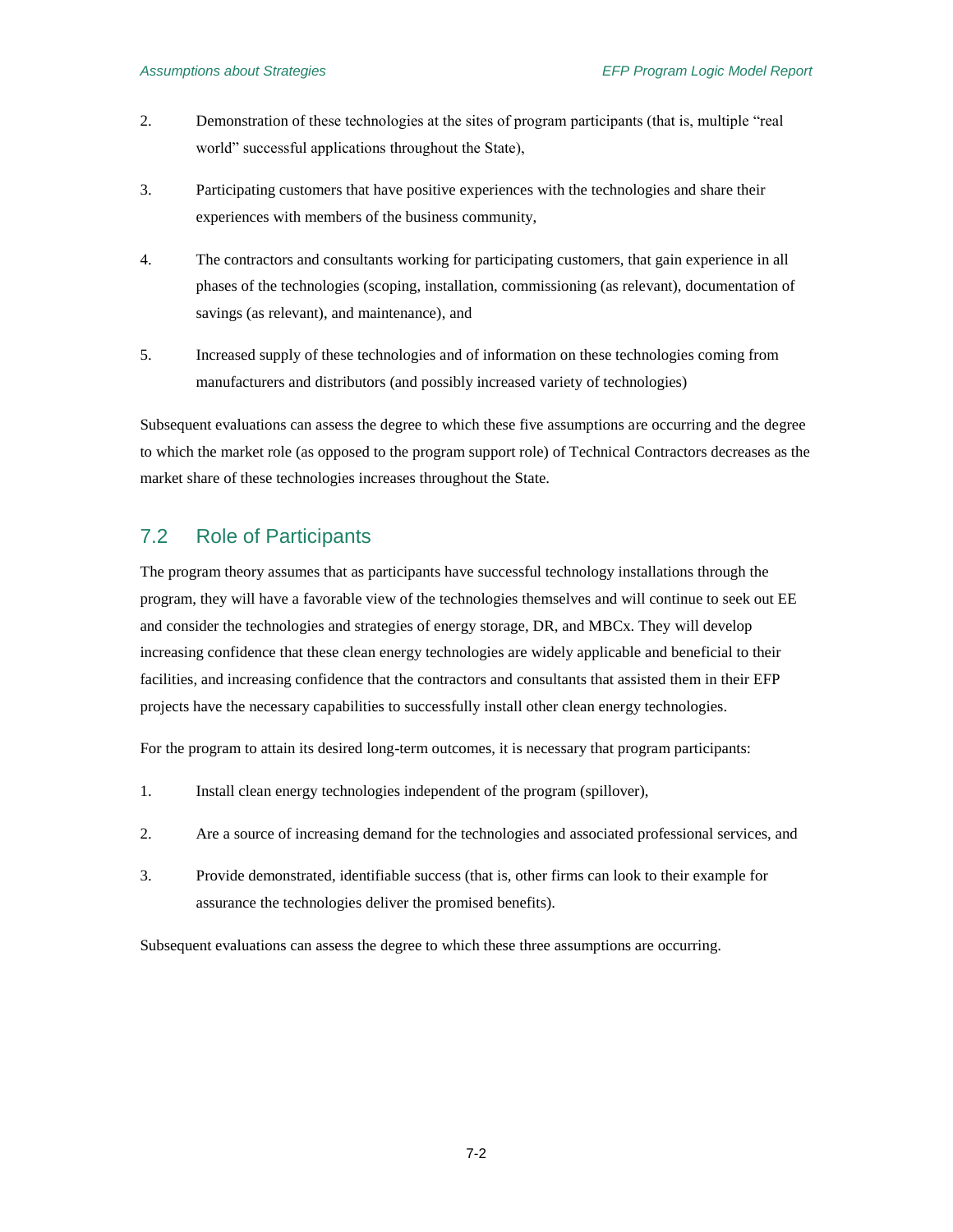- 2. Demonstration of these technologies at the sites of program participants (that is, multiple "real world" successful applications throughout the State),
- 3. Participating customers that have positive experiences with the technologies and share their experiences with members of the business community,
- 4. The contractors and consultants working for participating customers, that gain experience in all phases of the technologies (scoping, installation, commissioning (as relevant), documentation of savings (as relevant), and maintenance), and
- 5. Increased supply of these technologies and of information on these technologies coming from manufacturers and distributors (and possibly increased variety of technologies)

Subsequent evaluations can assess the degree to which these five assumptions are occurring and the degree to which the market role (as opposed to the program support role) of Technical Contractors decreases as the market share of these technologies increases throughout the State.

## <span id="page-35-0"></span>7.2 Role of Participants

The program theory assumes that as participants have successful technology installations through the program, they will have a favorable view of the technologies themselves and will continue to seek out EE and consider the technologies and strategies of energy storage, DR, and MBCx. They will develop increasing confidence that these clean energy technologies are widely applicable and beneficial to their facilities, and increasing confidence that the contractors and consultants that assisted them in their EFP projects have the necessary capabilities to successfully install other clean energy technologies.

For the program to attain its desired long-term outcomes, it is necessary that program participants:

- 1. Install clean energy technologies independent of the program (spillover),
- 2. Are a source of increasing demand for the technologies and associated professional services, and
- 3. Provide demonstrated, identifiable success (that is, other firms can look to their example for assurance the technologies deliver the promised benefits).

Subsequent evaluations can assess the degree to which these three assumptions are occurring.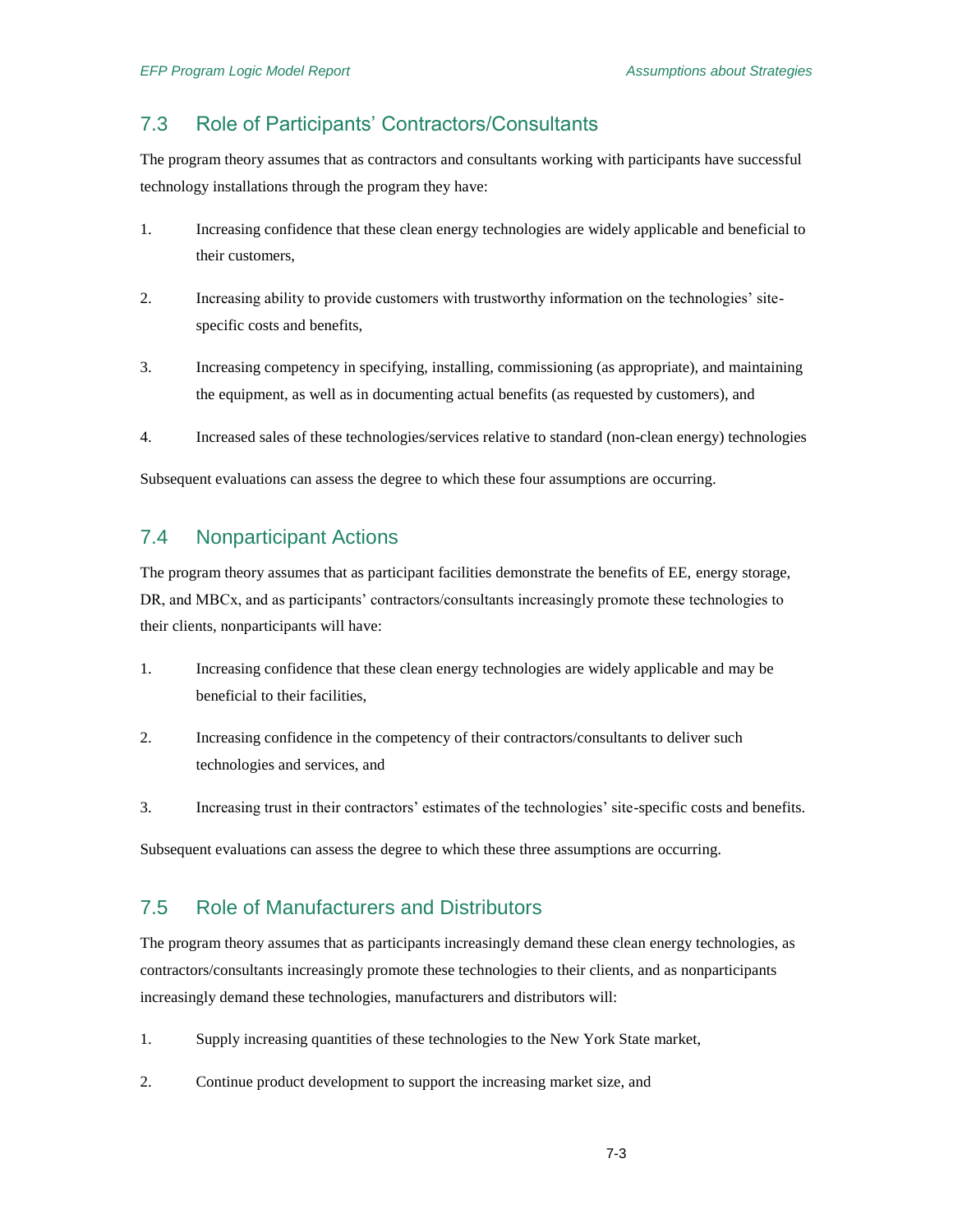## <span id="page-36-0"></span>7.3 Role of Participants' Contractors/Consultants

The program theory assumes that as contractors and consultants working with participants have successful technology installations through the program they have:

- 1. Increasing confidence that these clean energy technologies are widely applicable and beneficial to their customers,
- 2. Increasing ability to provide customers with trustworthy information on the technologies' sitespecific costs and benefits,
- 3. Increasing competency in specifying, installing, commissioning (as appropriate), and maintaining the equipment, as well as in documenting actual benefits (as requested by customers), and
- 4. Increased sales of these technologies/services relative to standard (non-clean energy) technologies

Subsequent evaluations can assess the degree to which these four assumptions are occurring.

## <span id="page-36-1"></span>7.4 Nonparticipant Actions

The program theory assumes that as participant facilities demonstrate the benefits of EE, energy storage, DR, and MBCx, and as participants' contractors/consultants increasingly promote these technologies to their clients, nonparticipants will have:

- 1. Increasing confidence that these clean energy technologies are widely applicable and may be beneficial to their facilities,
- 2. Increasing confidence in the competency of their contractors/consultants to deliver such technologies and services, and
- 3. Increasing trust in their contractors' estimates of the technologies' site-specific costs and benefits.

Subsequent evaluations can assess the degree to which these three assumptions are occurring.

## <span id="page-36-2"></span>7.5 Role of Manufacturers and Distributors

The program theory assumes that as participants increasingly demand these clean energy technologies, as contractors/consultants increasingly promote these technologies to their clients, and as nonparticipants increasingly demand these technologies, manufacturers and distributors will:

- 1. Supply increasing quantities of these technologies to the New York State market,
- 2. Continue product development to support the increasing market size, and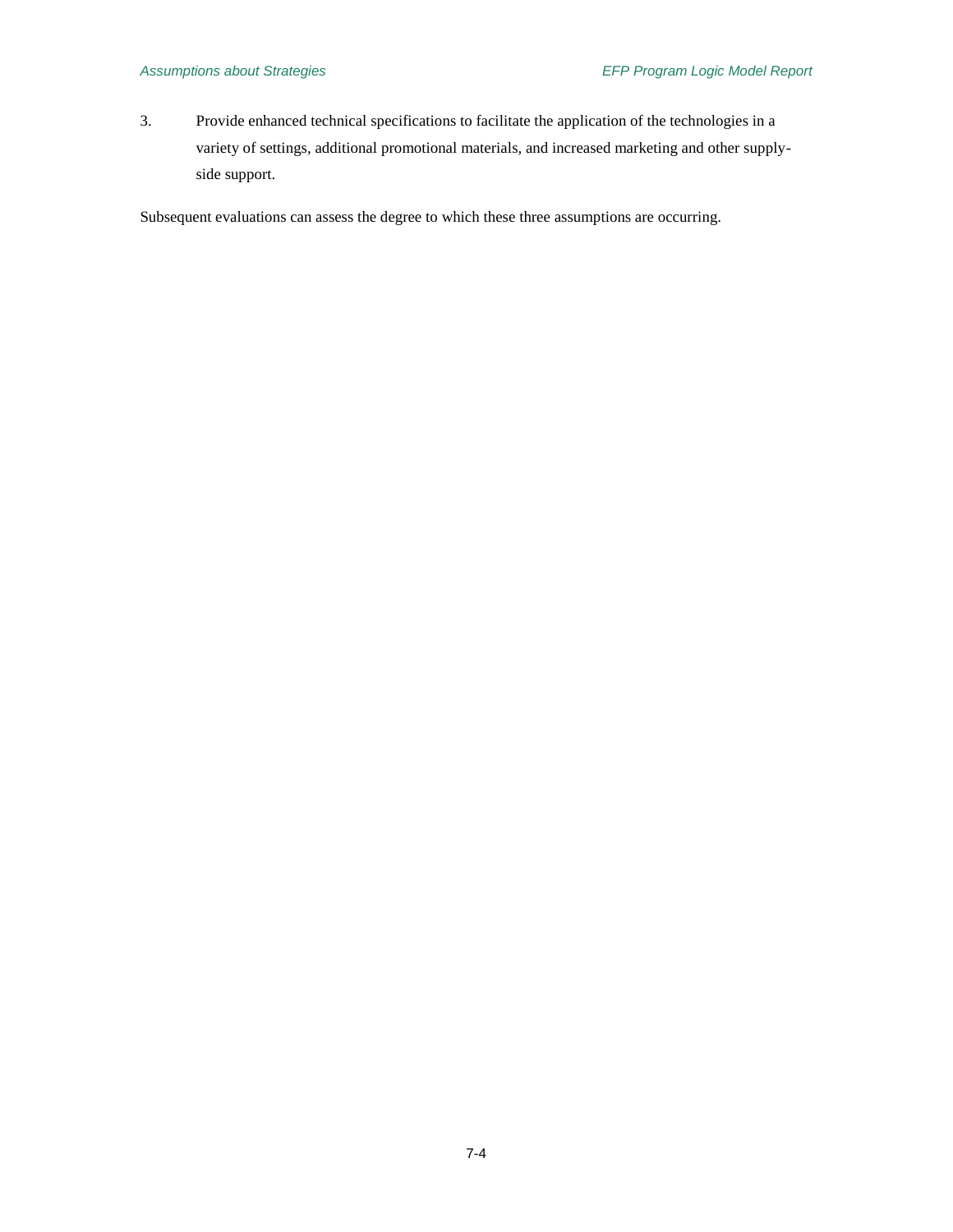3. Provide enhanced technical specifications to facilitate the application of the technologies in a variety of settings, additional promotional materials, and increased marketing and other supplyside support.

Subsequent evaluations can assess the degree to which these three assumptions are occurring.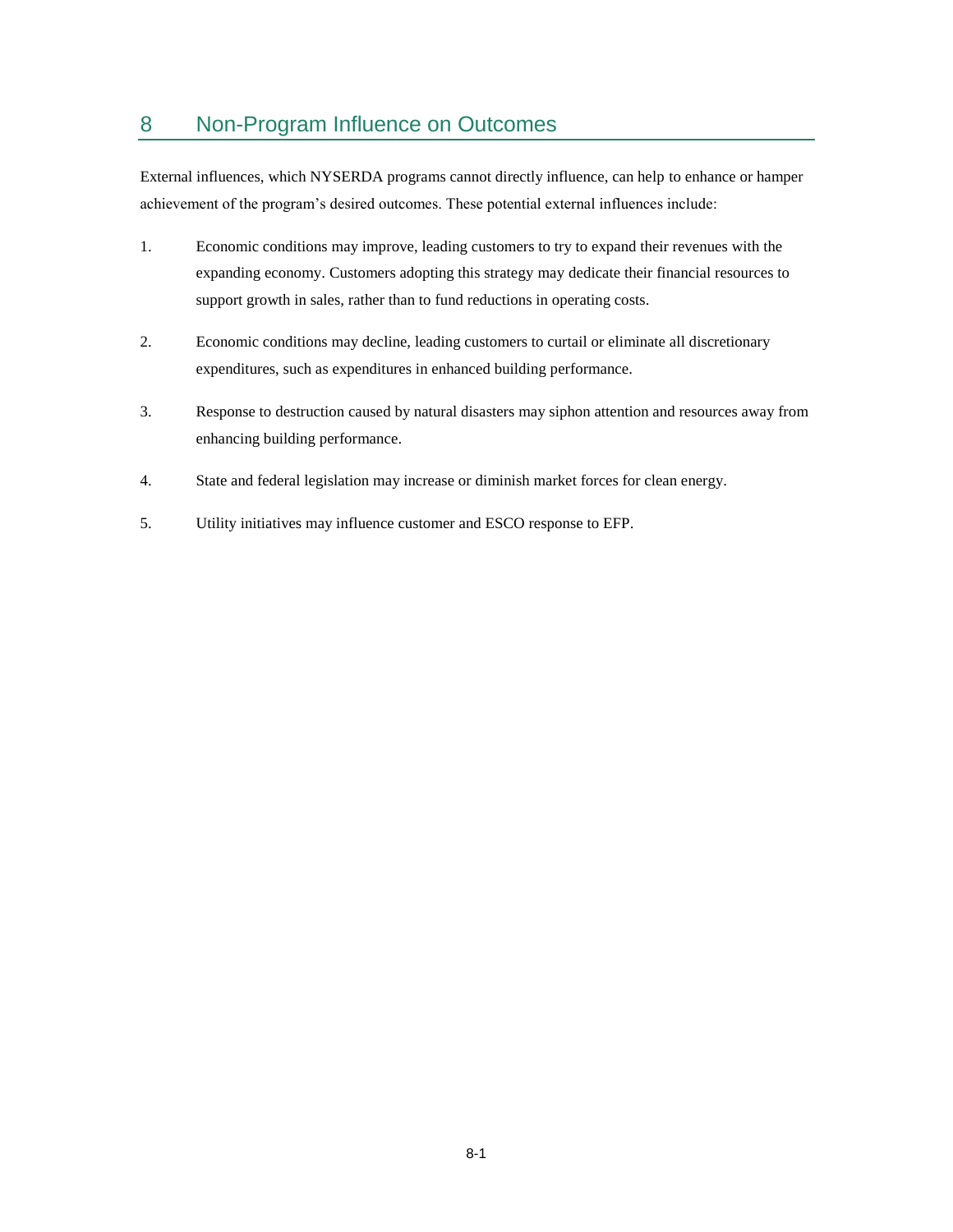# <span id="page-38-0"></span>8 Non-Program Influence on Outcomes

External influences, which NYSERDA programs cannot directly influence, can help to enhance or hamper achievement of the program's desired outcomes. These potential external influences include:

- 1. Economic conditions may improve, leading customers to try to expand their revenues with the expanding economy. Customers adopting this strategy may dedicate their financial resources to support growth in sales, rather than to fund reductions in operating costs.
- 2. Economic conditions may decline, leading customers to curtail or eliminate all discretionary expenditures, such as expenditures in enhanced building performance.
- 3. Response to destruction caused by natural disasters may siphon attention and resources away from enhancing building performance.
- 4. State and federal legislation may increase or diminish market forces for clean energy.
- 5. Utility initiatives may influence customer and ESCO response to EFP.